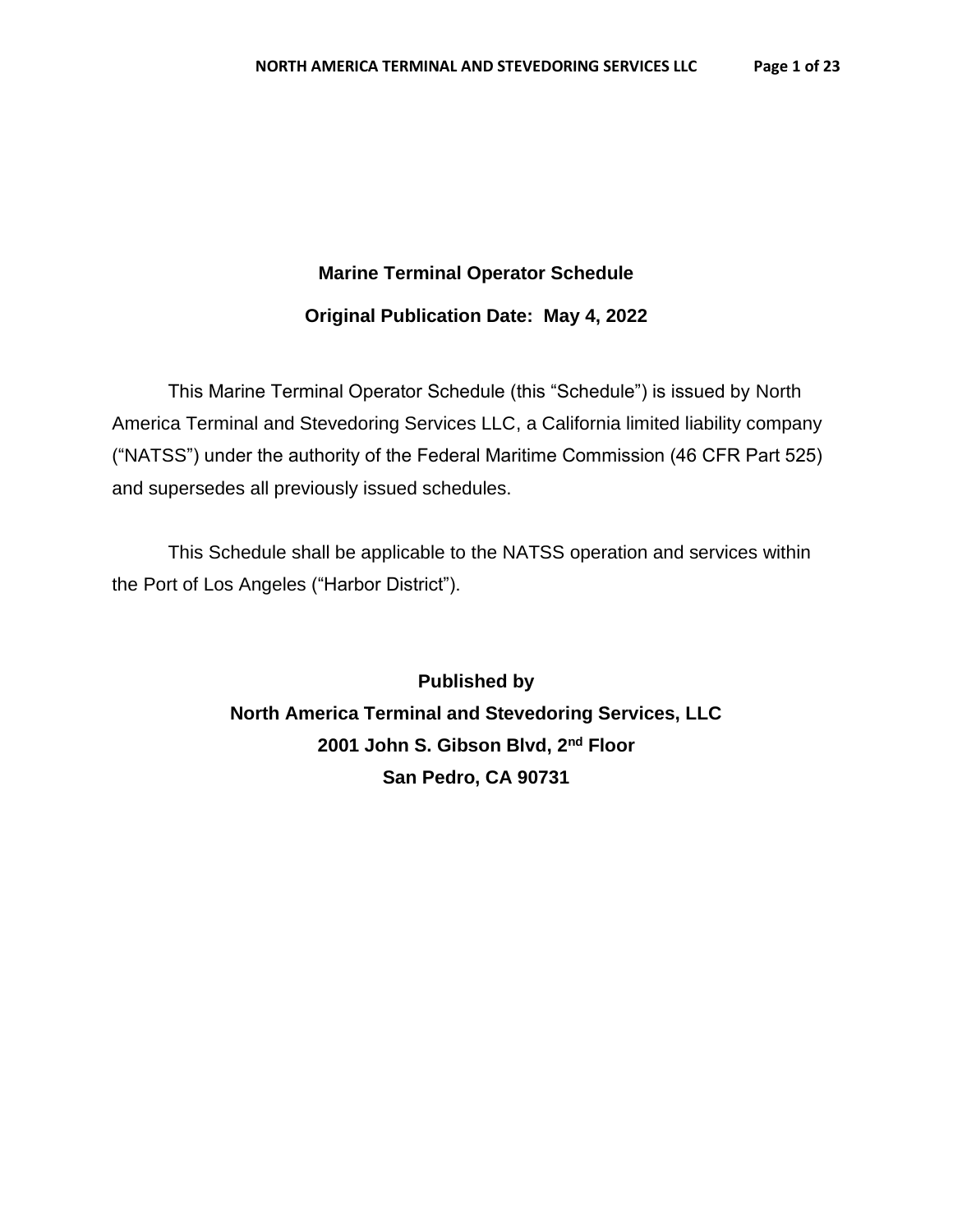## **Marine Terminal Operator Schedule**

## **Original Publication Date: May 4, 2022**

This Marine Terminal Operator Schedule (this "Schedule") is issued by North America Terminal and Stevedoring Services LLC, a California limited liability company ("NATSS") under the authority of the Federal Maritime Commission (46 CFR Part 525) and supersedes all previously issued schedules.

This Schedule shall be applicable to the NATSS operation and services within the Port of Los Angeles ("Harbor District").

> **Published by North America Terminal and Stevedoring Services, LLC 2001 John S. Gibson Blvd, 2nd Floor San Pedro, CA 90731**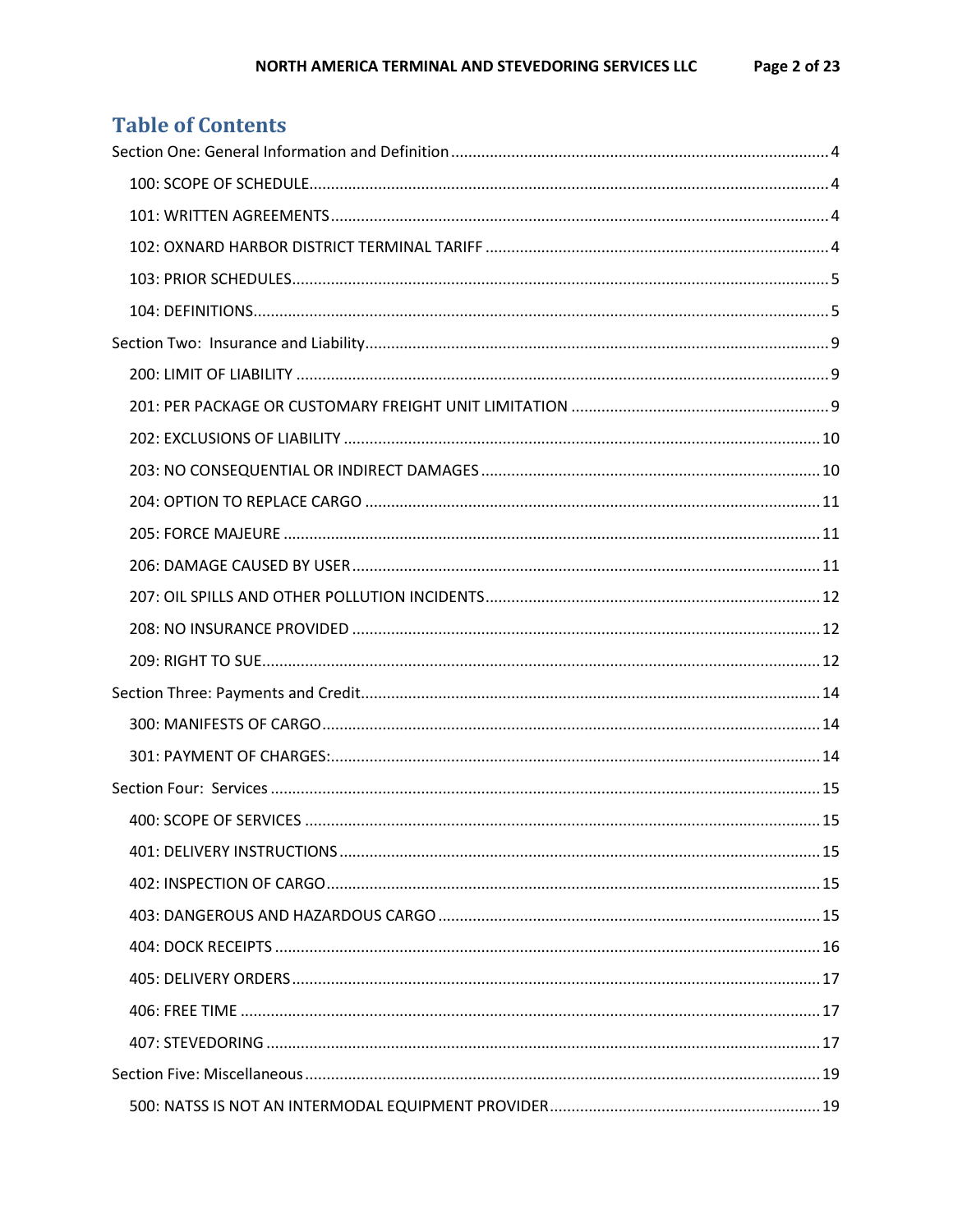| Table of contents |  |
|-------------------|--|
|                   |  |
|                   |  |
|                   |  |
|                   |  |
|                   |  |
|                   |  |
|                   |  |
|                   |  |
|                   |  |
|                   |  |
|                   |  |
|                   |  |
|                   |  |
|                   |  |
|                   |  |
|                   |  |
|                   |  |
|                   |  |
|                   |  |
|                   |  |
|                   |  |
|                   |  |
|                   |  |
|                   |  |
|                   |  |
|                   |  |
|                   |  |
|                   |  |
|                   |  |
|                   |  |

## Table of Contents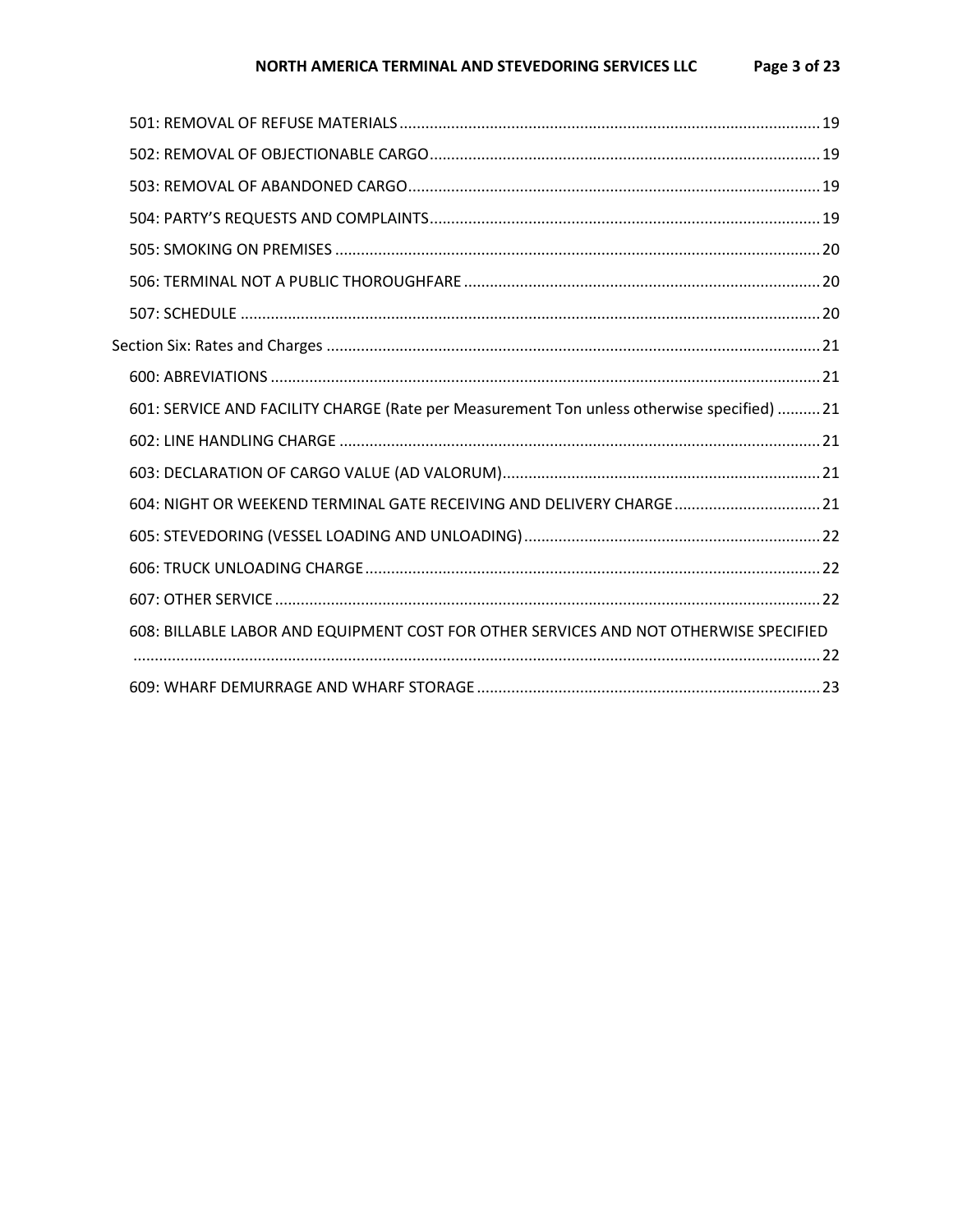#### NORTH AMERICA TERMINAL AND STEVEDORING SERVICES LLC Page 3 of 23

| 601: SERVICE AND FACILITY CHARGE (Rate per Measurement Ton unless otherwise specified)  21 |  |
|--------------------------------------------------------------------------------------------|--|
|                                                                                            |  |
|                                                                                            |  |
| 604: NIGHT OR WEEKEND TERMINAL GATE RECEIVING AND DELIVERY CHARGE 21                       |  |
|                                                                                            |  |
|                                                                                            |  |
|                                                                                            |  |
| 608: BILLABLE LABOR AND EQUIPMENT COST FOR OTHER SERVICES AND NOT OTHERWISE SPECIFIED      |  |
|                                                                                            |  |
|                                                                                            |  |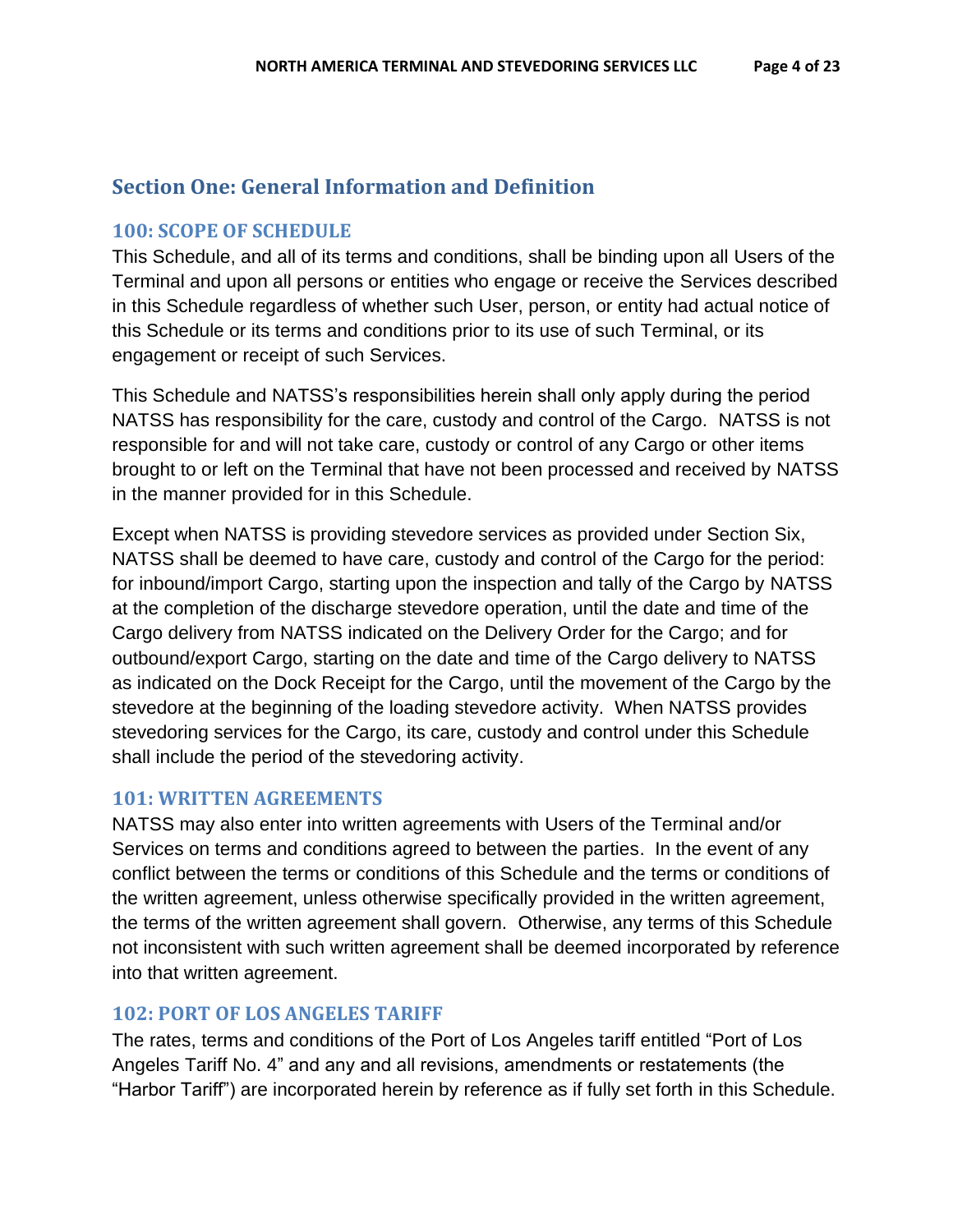## <span id="page-3-0"></span>**Section One: General Information and Definition**

## <span id="page-3-1"></span>**100: SCOPE OF SCHEDULE**

This Schedule, and all of its terms and conditions, shall be binding upon all Users of the Terminal and upon all persons or entities who engage or receive the Services described in this Schedule regardless of whether such User, person, or entity had actual notice of this Schedule or its terms and conditions prior to its use of such Terminal, or its engagement or receipt of such Services.

This Schedule and NATSS's responsibilities herein shall only apply during the period NATSS has responsibility for the care, custody and control of the Cargo. NATSS is not responsible for and will not take care, custody or control of any Cargo or other items brought to or left on the Terminal that have not been processed and received by NATSS in the manner provided for in this Schedule.

Except when NATSS is providing stevedore services as provided under Section Six, NATSS shall be deemed to have care, custody and control of the Cargo for the period: for inbound/import Cargo, starting upon the inspection and tally of the Cargo by NATSS at the completion of the discharge stevedore operation, until the date and time of the Cargo delivery from NATSS indicated on the Delivery Order for the Cargo; and for outbound/export Cargo, starting on the date and time of the Cargo delivery to NATSS as indicated on the Dock Receipt for the Cargo, until the movement of the Cargo by the stevedore at the beginning of the loading stevedore activity. When NATSS provides stevedoring services for the Cargo, its care, custody and control under this Schedule shall include the period of the stevedoring activity.

## <span id="page-3-2"></span>**101: WRITTEN AGREEMENTS**

NATSS may also enter into written agreements with Users of the Terminal and/or Services on terms and conditions agreed to between the parties. In the event of any conflict between the terms or conditions of this Schedule and the terms or conditions of the written agreement, unless otherwise specifically provided in the written agreement, the terms of the written agreement shall govern. Otherwise, any terms of this Schedule not inconsistent with such written agreement shall be deemed incorporated by reference into that written agreement.

## <span id="page-3-3"></span>**102: PORT OF LOS ANGELES TARIFF**

The rates, terms and conditions of the Port of Los Angeles tariff entitled "Port of Los Angeles Tariff No. 4" and any and all revisions, amendments or restatements (the "Harbor Tariff") are incorporated herein by reference as if fully set forth in this Schedule.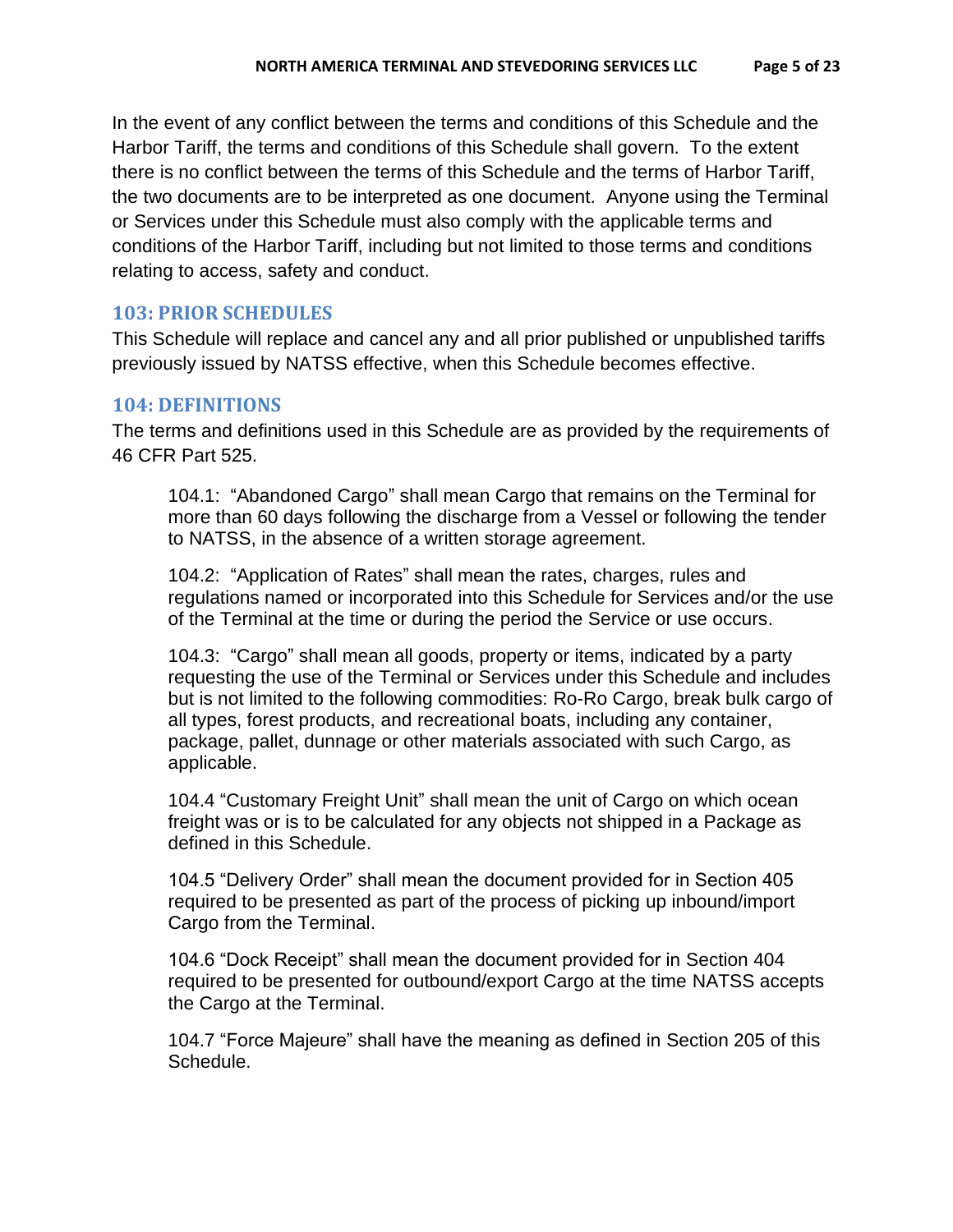In the event of any conflict between the terms and conditions of this Schedule and the Harbor Tariff, the terms and conditions of this Schedule shall govern. To the extent there is no conflict between the terms of this Schedule and the terms of Harbor Tariff, the two documents are to be interpreted as one document. Anyone using the Terminal or Services under this Schedule must also comply with the applicable terms and conditions of the Harbor Tariff, including but not limited to those terms and conditions relating to access, safety and conduct.

## <span id="page-4-0"></span>**103: PRIOR SCHEDULES**

This Schedule will replace and cancel any and all prior published or unpublished tariffs previously issued by NATSS effective, when this Schedule becomes effective.

## <span id="page-4-1"></span>**104: DEFINITIONS**

The terms and definitions used in this Schedule are as provided by the requirements of 46 CFR Part 525.

104.1: "Abandoned Cargo" shall mean Cargo that remains on the Terminal for more than 60 days following the discharge from a Vessel or following the tender to NATSS, in the absence of a written storage agreement.

104.2: "Application of Rates" shall mean the rates, charges, rules and regulations named or incorporated into this Schedule for Services and/or the use of the Terminal at the time or during the period the Service or use occurs.

104.3: "Cargo" shall mean all goods, property or items, indicated by a party requesting the use of the Terminal or Services under this Schedule and includes but is not limited to the following commodities: Ro-Ro Cargo, break bulk cargo of all types, forest products, and recreational boats, including any container, package, pallet, dunnage or other materials associated with such Cargo, as applicable.

104.4 "Customary Freight Unit" shall mean the unit of Cargo on which ocean freight was or is to be calculated for any objects not shipped in a Package as defined in this Schedule.

104.5 "Delivery Order" shall mean the document provided for in Section 405 required to be presented as part of the process of picking up inbound/import Cargo from the Terminal.

104.6 "Dock Receipt" shall mean the document provided for in Section 404 required to be presented for outbound/export Cargo at the time NATSS accepts the Cargo at the Terminal.

104.7 "Force Majeure" shall have the meaning as defined in Section 205 of this Schedule.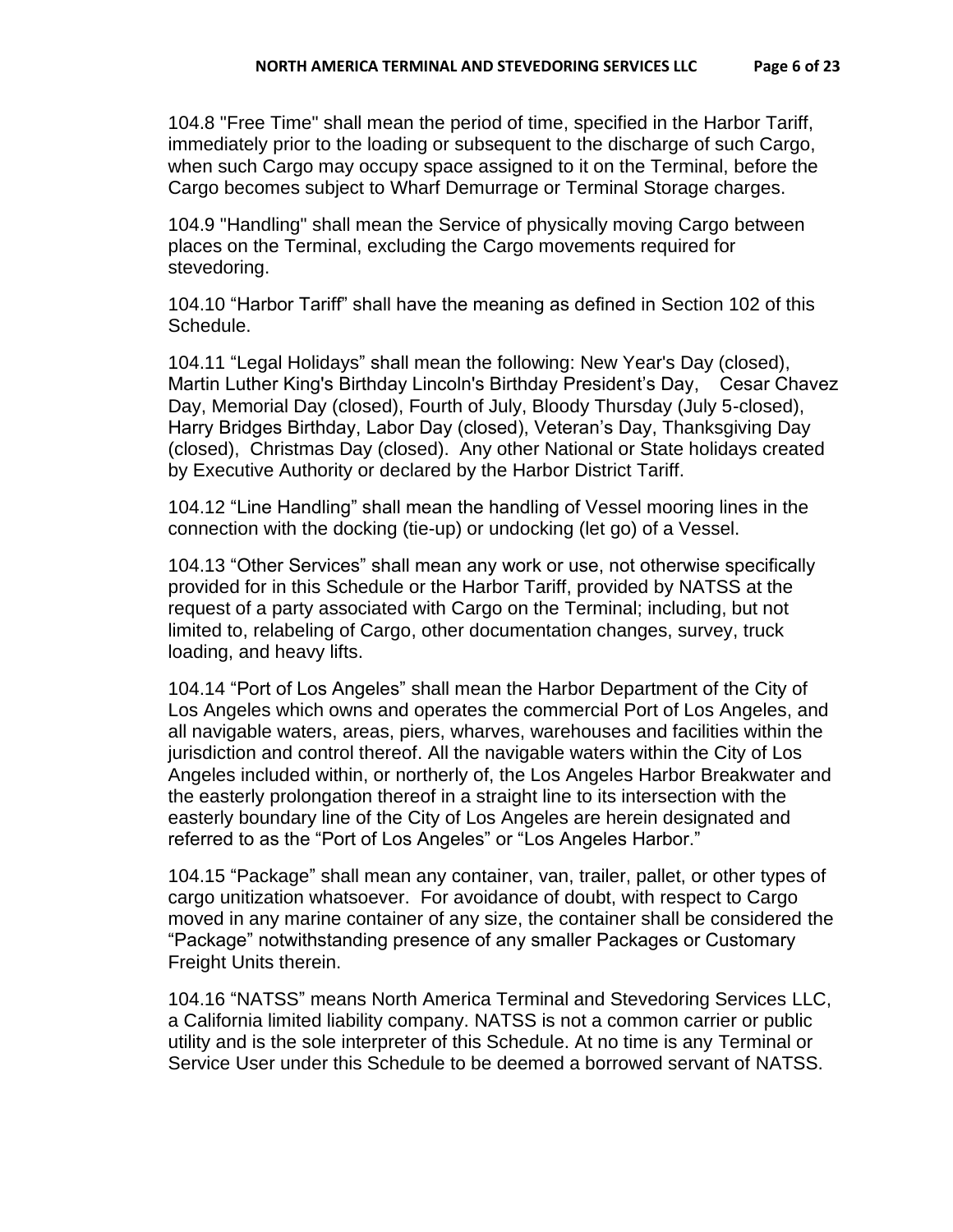104.8 "Free Time" shall mean the period of time, specified in the Harbor Tariff, immediately prior to the loading or subsequent to the discharge of such Cargo, when such Cargo may occupy space assigned to it on the Terminal, before the Cargo becomes subject to Wharf Demurrage or Terminal Storage charges.

104.9 "Handling" shall mean the Service of physically moving Cargo between places on the Terminal, excluding the Cargo movements required for stevedoring.

104.10 "Harbor Tariff" shall have the meaning as defined in Section 102 of this Schedule.

104.11 "Legal Holidays" shall mean the following: New Year's Day (closed), Martin Luther King's Birthday Lincoln's Birthday President's Day, Cesar Chavez Day, Memorial Day (closed), Fourth of July, Bloody Thursday (July 5-closed), Harry Bridges Birthday, Labor Day (closed), Veteran's Day, Thanksgiving Day (closed), Christmas Day (closed). Any other National or State holidays created by Executive Authority or declared by the Harbor District Tariff.

104.12 "Line Handling" shall mean the handling of Vessel mooring lines in the connection with the docking (tie-up) or undocking (let go) of a Vessel.

104.13 "Other Services" shall mean any work or use, not otherwise specifically provided for in this Schedule or the Harbor Tariff, provided by NATSS at the request of a party associated with Cargo on the Terminal; including, but not limited to, relabeling of Cargo, other documentation changes, survey, truck loading, and heavy lifts.

104.14 "Port of Los Angeles" shall mean the Harbor Department of the City of Los Angeles which owns and operates the commercial Port of Los Angeles, and all navigable waters, areas, piers, wharves, warehouses and facilities within the jurisdiction and control thereof. All the navigable waters within the City of Los Angeles included within, or northerly of, the Los Angeles Harbor Breakwater and the easterly prolongation thereof in a straight line to its intersection with the easterly boundary line of the City of Los Angeles are herein designated and referred to as the "Port of Los Angeles" or "Los Angeles Harbor."

104.15 "Package" shall mean any container, van, trailer, pallet, or other types of cargo unitization whatsoever. For avoidance of doubt, with respect to Cargo moved in any marine container of any size, the container shall be considered the "Package" notwithstanding presence of any smaller Packages or Customary Freight Units therein.

104.16 "NATSS" means North America Terminal and Stevedoring Services LLC, a California limited liability company. NATSS is not a common carrier or public utility and is the sole interpreter of this Schedule. At no time is any Terminal or Service User under this Schedule to be deemed a borrowed servant of NATSS.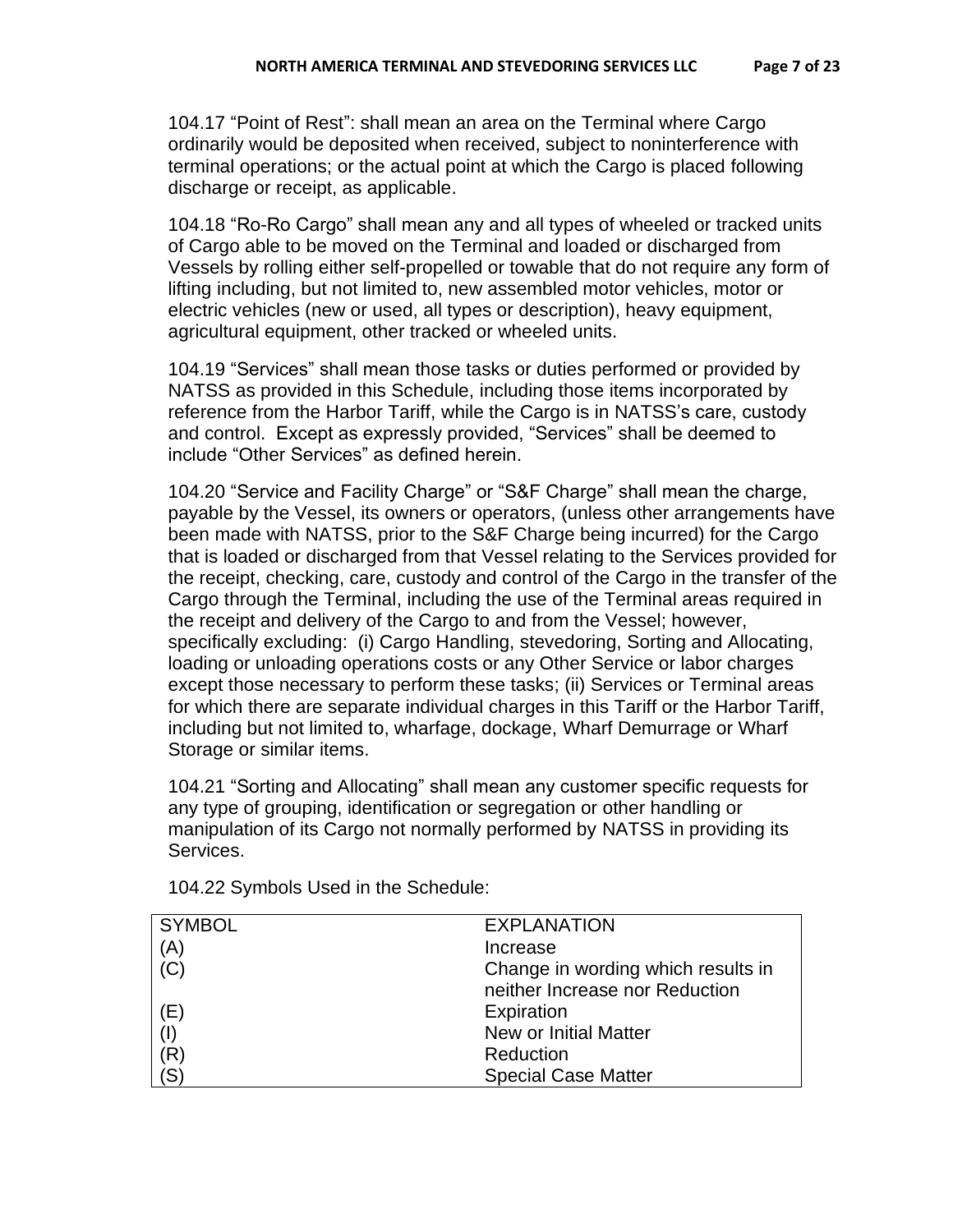104.17 "Point of Rest": shall mean an area on the Terminal where Cargo ordinarily would be deposited when received, subject to noninterference with terminal operations; or the actual point at which the Cargo is placed following discharge or receipt, as applicable.

104.18 "Ro-Ro Cargo" shall mean any and all types of wheeled or tracked units of Cargo able to be moved on the Terminal and loaded or discharged from Vessels by rolling either self-propelled or towable that do not require any form of lifting including, but not limited to, new assembled motor vehicles, motor or electric vehicles (new or used, all types or description), heavy equipment, agricultural equipment, other tracked or wheeled units.

104.19 "Services" shall mean those tasks or duties performed or provided by NATSS as provided in this Schedule, including those items incorporated by reference from the Harbor Tariff, while the Cargo is in NATSS's care, custody and control. Except as expressly provided, "Services" shall be deemed to include "Other Services" as defined herein.

104.20 "Service and Facility Charge" or "S&F Charge" shall mean the charge, payable by the Vessel, its owners or operators, (unless other arrangements have been made with NATSS, prior to the S&F Charge being incurred) for the Cargo that is loaded or discharged from that Vessel relating to the Services provided for the receipt, checking, care, custody and control of the Cargo in the transfer of the Cargo through the Terminal, including the use of the Terminal areas required in the receipt and delivery of the Cargo to and from the Vessel; however, specifically excluding: (i) Cargo Handling, stevedoring, Sorting and Allocating, loading or unloading operations costs or any Other Service or labor charges except those necessary to perform these tasks; (ii) Services or Terminal areas for which there are separate individual charges in this Tariff or the Harbor Tariff, including but not limited to, wharfage, dockage, Wharf Demurrage or Wharf Storage or similar items.

104.21 "Sorting and Allocating" shall mean any customer specific requests for any type of grouping, identification or segregation or other handling or manipulation of its Cargo not normally performed by NATSS in providing its Services.

| <b>SYMBOL</b> | <b>EXPLANATION</b>                 |
|---------------|------------------------------------|
| (A)           | Increase                           |
| (C)           | Change in wording which results in |
|               | neither Increase nor Reduction     |
| (E)           | Expiration                         |
| (1)           | New or Initial Matter              |
| (R)           | Reduction                          |
| (S)           | <b>Special Case Matter</b>         |

104.22 Symbols Used in the Schedule: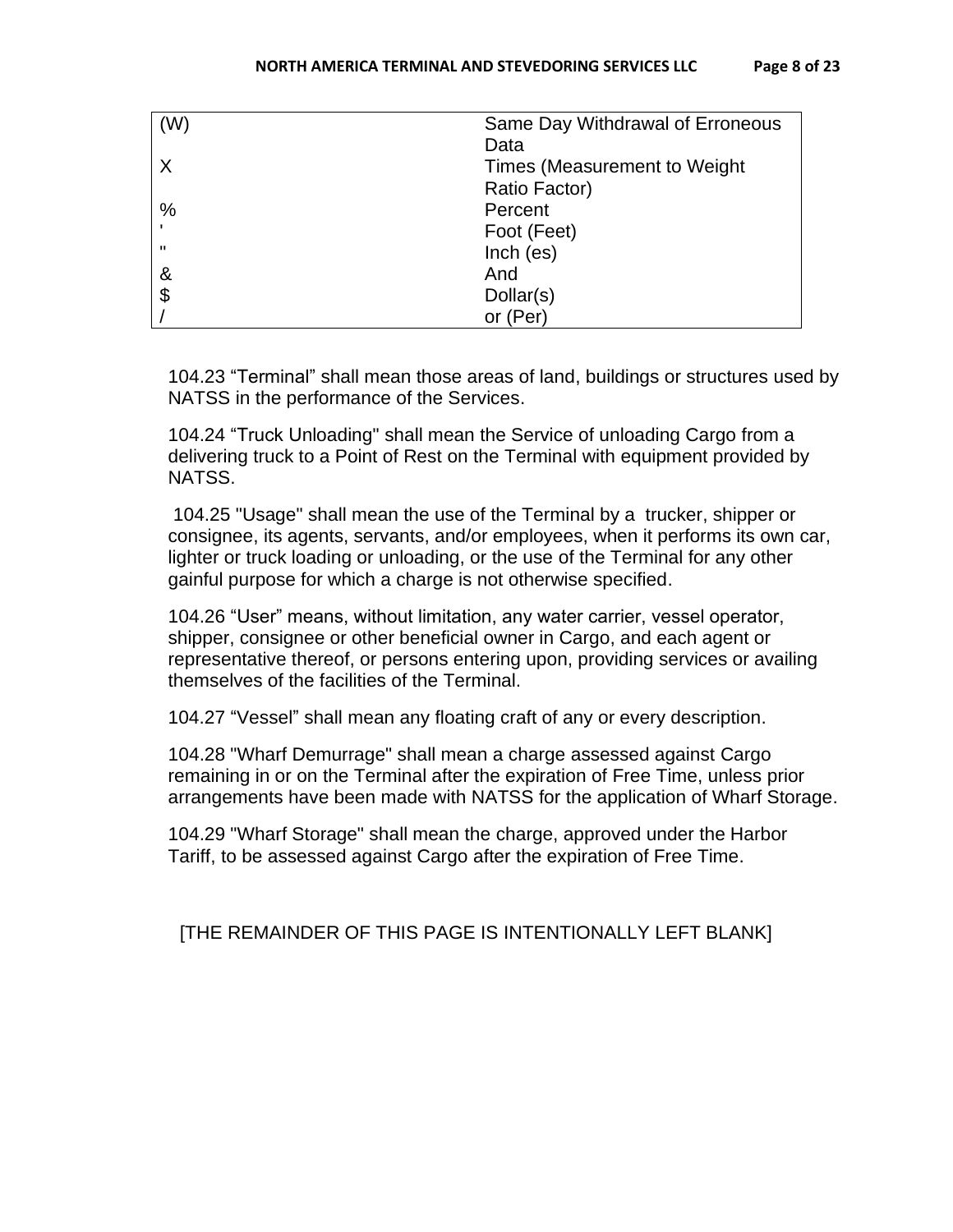| (W)                   | Same Day Withdrawal of Erroneous |
|-----------------------|----------------------------------|
|                       | Data                             |
| X                     | Times (Measurement to Weight)    |
|                       | Ratio Factor)                    |
| $\%$                  | Percent                          |
|                       | Foot (Feet)                      |
| $\mathbf{u}$          | Inch (es)                        |
| &                     | And                              |
| $\boldsymbol{\theta}$ | Dollar(s)                        |
|                       | or (Per)                         |

104.23 "Terminal" shall mean those areas of land, buildings or structures used by NATSS in the performance of the Services.

104.24 "Truck Unloading" shall mean the Service of unloading Cargo from a delivering truck to a Point of Rest on the Terminal with equipment provided by NATSS.

104.25 "Usage" shall mean the use of the Terminal by a trucker, shipper or consignee, its agents, servants, and/or employees, when it performs its own car, lighter or truck loading or unloading, or the use of the Terminal for any other gainful purpose for which a charge is not otherwise specified.

104.26 "User" means, without limitation, any water carrier, vessel operator, shipper, consignee or other beneficial owner in Cargo, and each agent or representative thereof, or persons entering upon, providing services or availing themselves of the facilities of the Terminal.

104.27 "Vessel" shall mean any floating craft of any or every description.

104.28 "Wharf Demurrage" shall mean a charge assessed against Cargo remaining in or on the Terminal after the expiration of Free Time, unless prior arrangements have been made with NATSS for the application of Wharf Storage.

104.29 "Wharf Storage" shall mean the charge, approved under the Harbor Tariff, to be assessed against Cargo after the expiration of Free Time.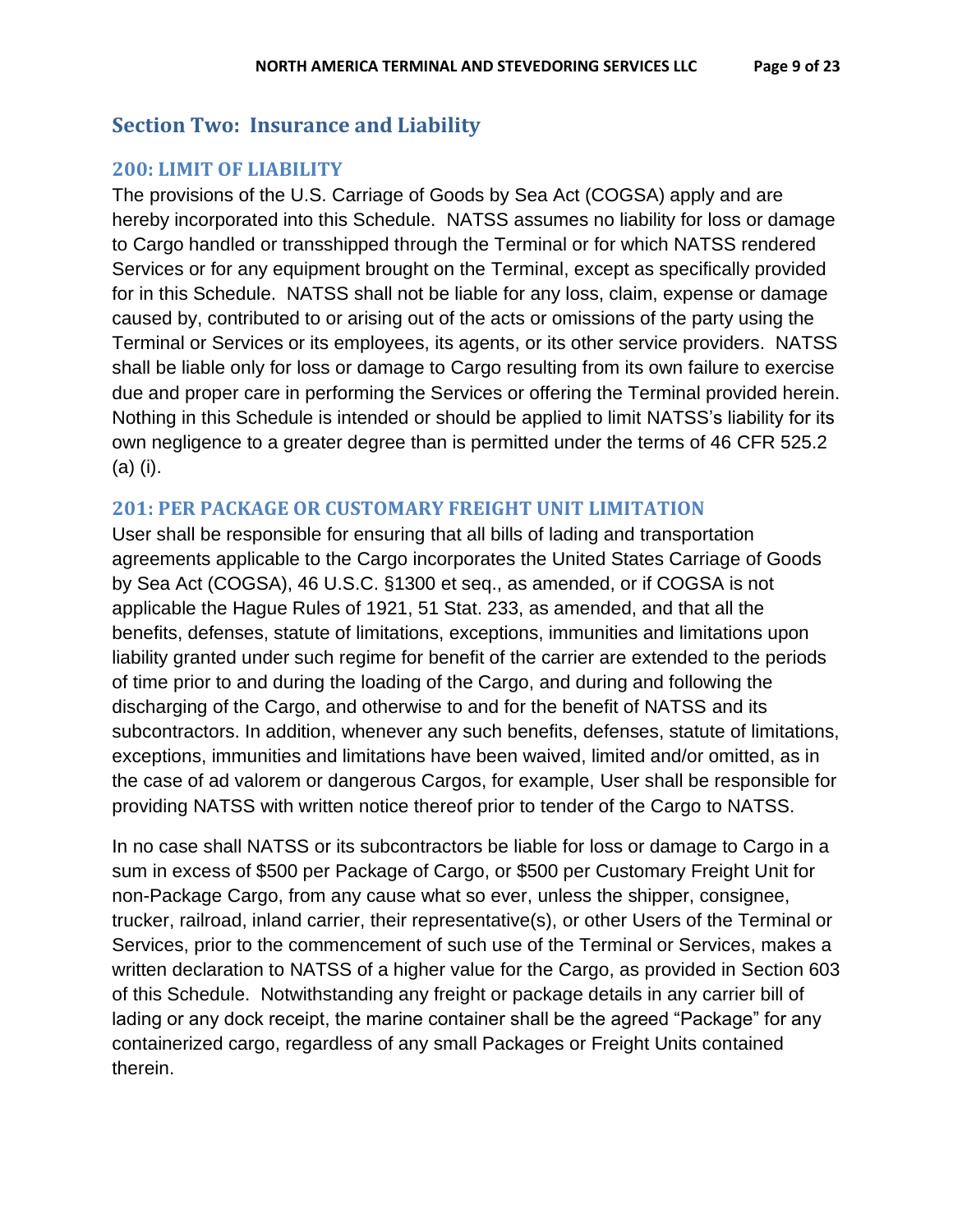## <span id="page-8-0"></span>**Section Two: Insurance and Liability**

## <span id="page-8-1"></span>**200: LIMIT OF LIABILITY**

The provisions of the U.S. Carriage of Goods by Sea Act (COGSA) apply and are hereby incorporated into this Schedule. NATSS assumes no liability for loss or damage to Cargo handled or transshipped through the Terminal or for which NATSS rendered Services or for any equipment brought on the Terminal, except as specifically provided for in this Schedule. NATSS shall not be liable for any loss, claim, expense or damage caused by, contributed to or arising out of the acts or omissions of the party using the Terminal or Services or its employees, its agents, or its other service providers. NATSS shall be liable only for loss or damage to Cargo resulting from its own failure to exercise due and proper care in performing the Services or offering the Terminal provided herein. Nothing in this Schedule is intended or should be applied to limit NATSS's liability for its own negligence to a greater degree than is permitted under the terms of 46 CFR 525.2 (a) (i).

## <span id="page-8-2"></span>**201: PER PACKAGE OR CUSTOMARY FREIGHT UNIT LIMITATION**

User shall be responsible for ensuring that all bills of lading and transportation agreements applicable to the Cargo incorporates the United States Carriage of Goods by Sea Act (COGSA), 46 U.S.C. §1300 et seq., as amended, or if COGSA is not applicable the Hague Rules of 1921, 51 Stat. 233, as amended, and that all the benefits, defenses, statute of limitations, exceptions, immunities and limitations upon liability granted under such regime for benefit of the carrier are extended to the periods of time prior to and during the loading of the Cargo, and during and following the discharging of the Cargo, and otherwise to and for the benefit of NATSS and its subcontractors. In addition, whenever any such benefits, defenses, statute of limitations, exceptions, immunities and limitations have been waived, limited and/or omitted, as in the case of ad valorem or dangerous Cargos, for example, User shall be responsible for providing NATSS with written notice thereof prior to tender of the Cargo to NATSS.

In no case shall NATSS or its subcontractors be liable for loss or damage to Cargo in a sum in excess of \$500 per Package of Cargo, or \$500 per Customary Freight Unit for non-Package Cargo, from any cause what so ever, unless the shipper, consignee, trucker, railroad, inland carrier, their representative(s), or other Users of the Terminal or Services, prior to the commencement of such use of the Terminal or Services, makes a written declaration to NATSS of a higher value for the Cargo, as provided in Section 603 of this Schedule. Notwithstanding any freight or package details in any carrier bill of lading or any dock receipt, the marine container shall be the agreed "Package" for any containerized cargo, regardless of any small Packages or Freight Units contained therein.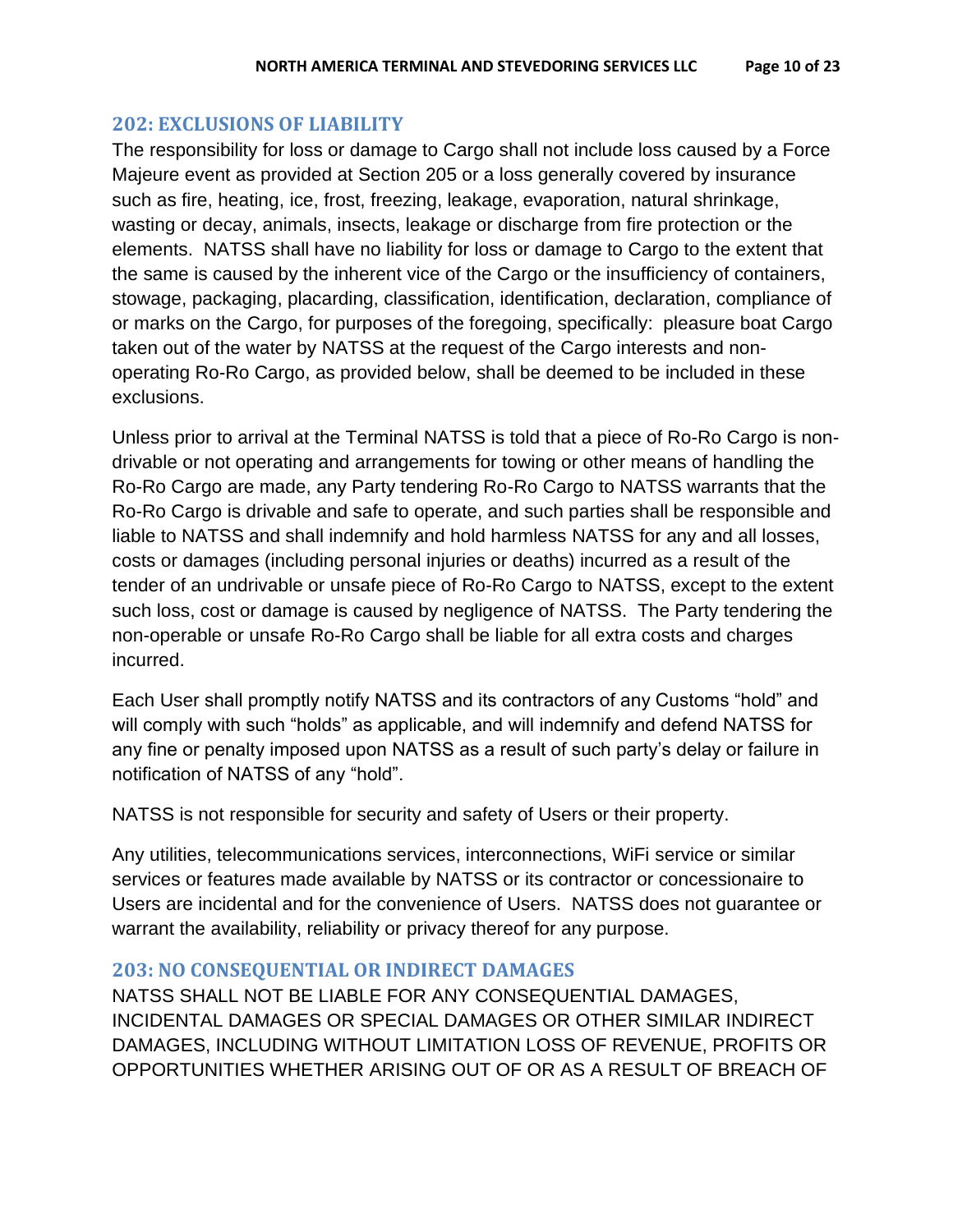#### <span id="page-9-0"></span>**202: EXCLUSIONS OF LIABILITY**

The responsibility for loss or damage to Cargo shall not include loss caused by a Force Majeure event as provided at Section 205 or a loss generally covered by insurance such as fire, heating, ice, frost, freezing, leakage, evaporation, natural shrinkage, wasting or decay, animals, insects, leakage or discharge from fire protection or the elements. NATSS shall have no liability for loss or damage to Cargo to the extent that the same is caused by the inherent vice of the Cargo or the insufficiency of containers, stowage, packaging, placarding, classification, identification, declaration, compliance of or marks on the Cargo, for purposes of the foregoing, specifically: pleasure boat Cargo taken out of the water by NATSS at the request of the Cargo interests and nonoperating Ro-Ro Cargo, as provided below, shall be deemed to be included in these exclusions.

Unless prior to arrival at the Terminal NATSS is told that a piece of Ro-Ro Cargo is nondrivable or not operating and arrangements for towing or other means of handling the Ro-Ro Cargo are made, any Party tendering Ro-Ro Cargo to NATSS warrants that the Ro-Ro Cargo is drivable and safe to operate, and such parties shall be responsible and liable to NATSS and shall indemnify and hold harmless NATSS for any and all losses, costs or damages (including personal injuries or deaths) incurred as a result of the tender of an undrivable or unsafe piece of Ro-Ro Cargo to NATSS, except to the extent such loss, cost or damage is caused by negligence of NATSS. The Party tendering the non-operable or unsafe Ro-Ro Cargo shall be liable for all extra costs and charges incurred.

Each User shall promptly notify NATSS and its contractors of any Customs "hold" and will comply with such "holds" as applicable, and will indemnify and defend NATSS for any fine or penalty imposed upon NATSS as a result of such party's delay or failure in notification of NATSS of any "hold".

NATSS is not responsible for security and safety of Users or their property.

Any utilities, telecommunications services, interconnections, WiFi service or similar services or features made available by NATSS or its contractor or concessionaire to Users are incidental and for the convenience of Users. NATSS does not guarantee or warrant the availability, reliability or privacy thereof for any purpose.

#### <span id="page-9-1"></span>**203: NO CONSEQUENTIAL OR INDIRECT DAMAGES**

NATSS SHALL NOT BE LIABLE FOR ANY CONSEQUENTIAL DAMAGES, INCIDENTAL DAMAGES OR SPECIAL DAMAGES OR OTHER SIMILAR INDIRECT DAMAGES, INCLUDING WITHOUT LIMITATION LOSS OF REVENUE, PROFITS OR OPPORTUNITIES WHETHER ARISING OUT OF OR AS A RESULT OF BREACH OF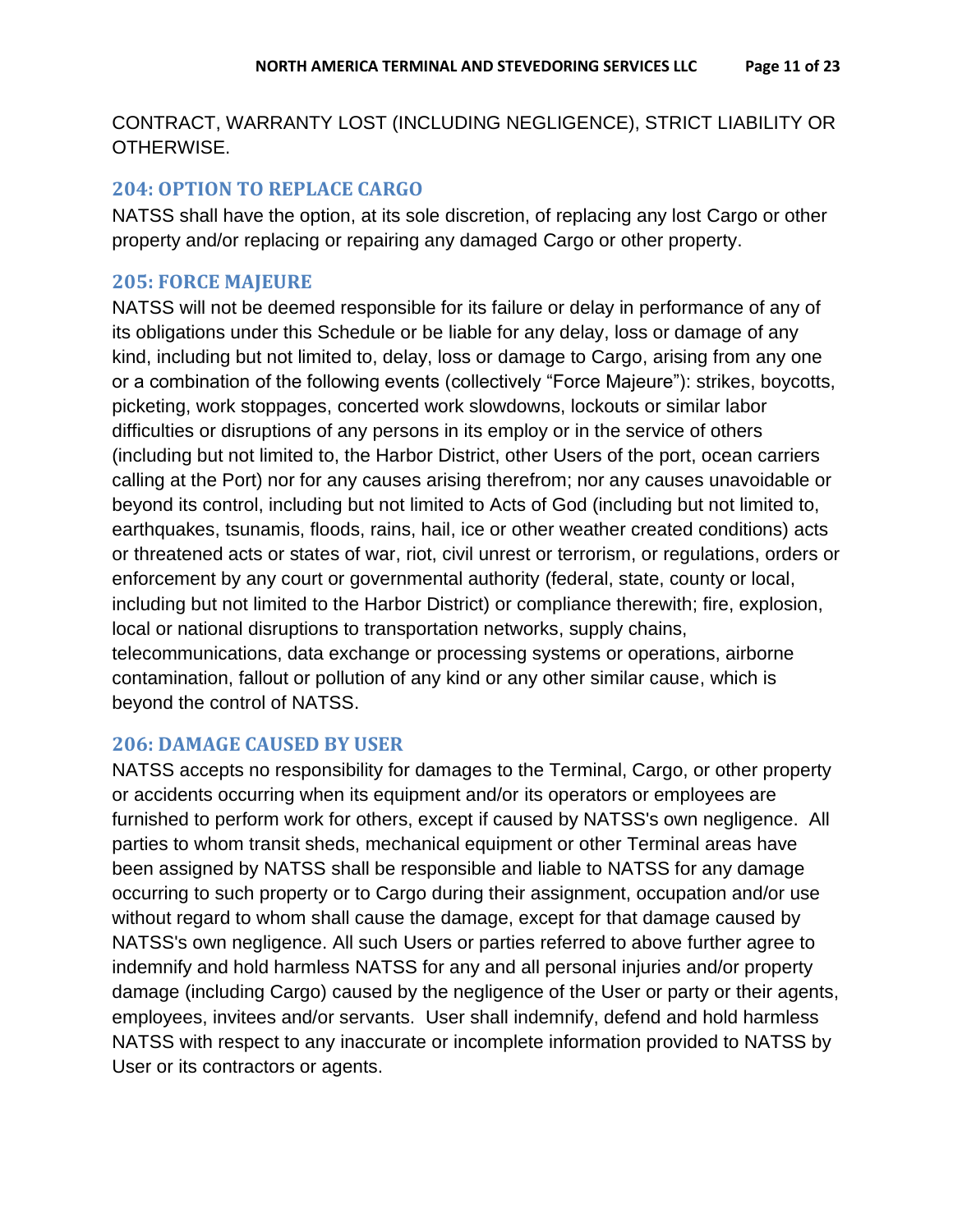## CONTRACT, WARRANTY LOST (INCLUDING NEGLIGENCE), STRICT LIABILITY OR OTHERWISE.

## <span id="page-10-0"></span>**204: OPTION TO REPLACE CARGO**

NATSS shall have the option, at its sole discretion, of replacing any lost Cargo or other property and/or replacing or repairing any damaged Cargo or other property.

## <span id="page-10-1"></span>**205: FORCE MAJEURE**

NATSS will not be deemed responsible for its failure or delay in performance of any of its obligations under this Schedule or be liable for any delay, loss or damage of any kind, including but not limited to, delay, loss or damage to Cargo, arising from any one or a combination of the following events (collectively "Force Majeure"): strikes, boycotts, picketing, work stoppages, concerted work slowdowns, lockouts or similar labor difficulties or disruptions of any persons in its employ or in the service of others (including but not limited to, the Harbor District, other Users of the port, ocean carriers calling at the Port) nor for any causes arising therefrom; nor any causes unavoidable or beyond its control, including but not limited to Acts of God (including but not limited to, earthquakes, tsunamis, floods, rains, hail, ice or other weather created conditions) acts or threatened acts or states of war, riot, civil unrest or terrorism, or regulations, orders or enforcement by any court or governmental authority (federal, state, county or local, including but not limited to the Harbor District) or compliance therewith; fire, explosion, local or national disruptions to transportation networks, supply chains, telecommunications, data exchange or processing systems or operations, airborne contamination, fallout or pollution of any kind or any other similar cause, which is beyond the control of NATSS.

## <span id="page-10-2"></span>**206: DAMAGE CAUSED BY USER**

NATSS accepts no responsibility for damages to the Terminal, Cargo, or other property or accidents occurring when its equipment and/or its operators or employees are furnished to perform work for others, except if caused by NATSS's own negligence. All parties to whom transit sheds, mechanical equipment or other Terminal areas have been assigned by NATSS shall be responsible and liable to NATSS for any damage occurring to such property or to Cargo during their assignment, occupation and/or use without regard to whom shall cause the damage, except for that damage caused by NATSS's own negligence. All such Users or parties referred to above further agree to indemnify and hold harmless NATSS for any and all personal injuries and/or property damage (including Cargo) caused by the negligence of the User or party or their agents, employees, invitees and/or servants. User shall indemnify, defend and hold harmless NATSS with respect to any inaccurate or incomplete information provided to NATSS by User or its contractors or agents.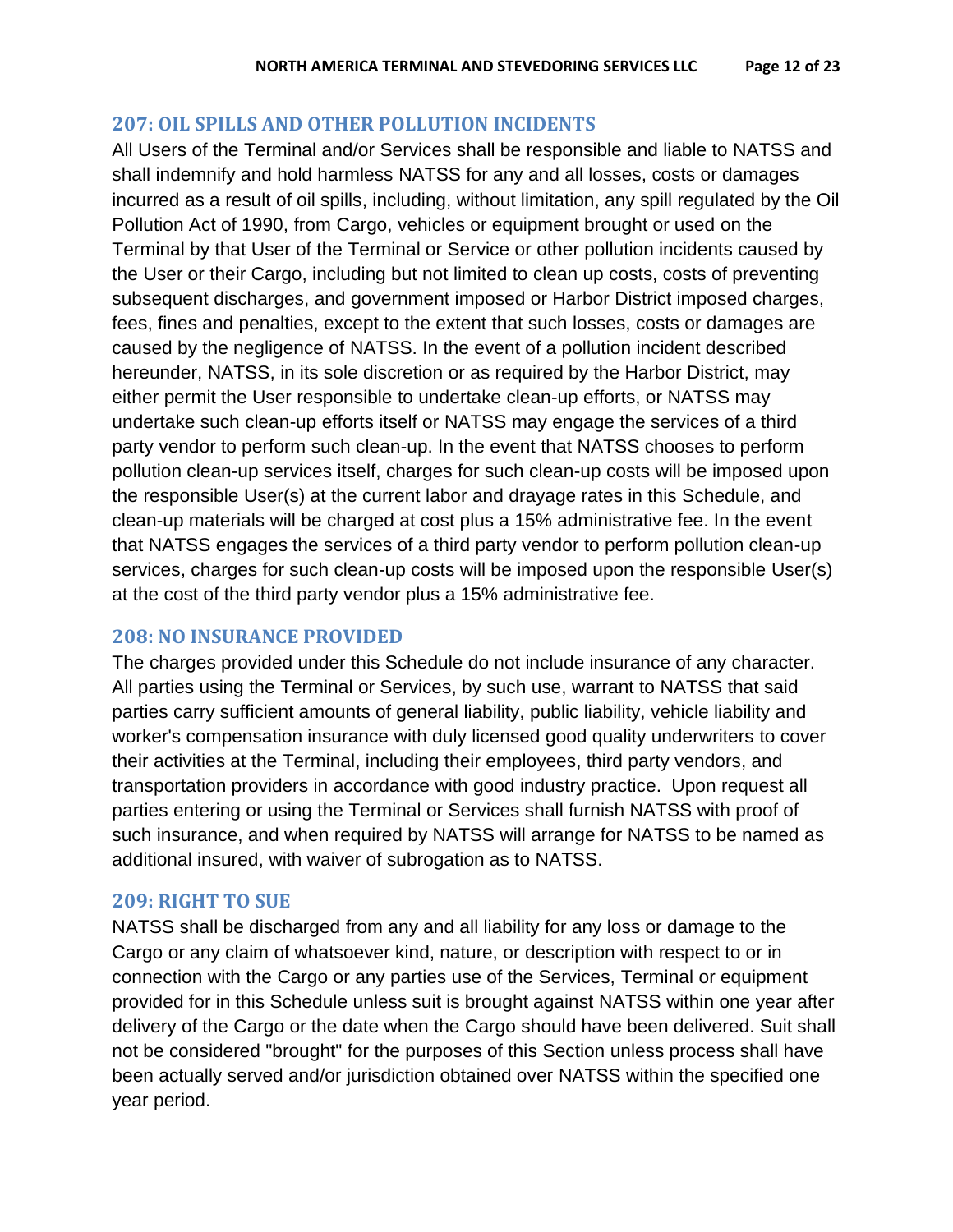#### <span id="page-11-0"></span>**207: OIL SPILLS AND OTHER POLLUTION INCIDENTS**

All Users of the Terminal and/or Services shall be responsible and liable to NATSS and shall indemnify and hold harmless NATSS for any and all losses, costs or damages incurred as a result of oil spills, including, without limitation, any spill regulated by the Oil Pollution Act of 1990, from Cargo, vehicles or equipment brought or used on the Terminal by that User of the Terminal or Service or other pollution incidents caused by the User or their Cargo, including but not limited to clean up costs, costs of preventing subsequent discharges, and government imposed or Harbor District imposed charges, fees, fines and penalties, except to the extent that such losses, costs or damages are caused by the negligence of NATSS. In the event of a pollution incident described hereunder, NATSS, in its sole discretion or as required by the Harbor District, may either permit the User responsible to undertake clean-up efforts, or NATSS may undertake such clean-up efforts itself or NATSS may engage the services of a third party vendor to perform such clean-up. In the event that NATSS chooses to perform pollution clean-up services itself, charges for such clean-up costs will be imposed upon the responsible User(s) at the current labor and drayage rates in this Schedule, and clean-up materials will be charged at cost plus a 15% administrative fee. In the event that NATSS engages the services of a third party vendor to perform pollution clean-up services, charges for such clean-up costs will be imposed upon the responsible User(s) at the cost of the third party vendor plus a 15% administrative fee.

## <span id="page-11-1"></span>**208: NO INSURANCE PROVIDED**

The charges provided under this Schedule do not include insurance of any character. All parties using the Terminal or Services, by such use, warrant to NATSS that said parties carry sufficient amounts of general liability, public liability, vehicle liability and worker's compensation insurance with duly licensed good quality underwriters to cover their activities at the Terminal, including their employees, third party vendors, and transportation providers in accordance with good industry practice. Upon request all parties entering or using the Terminal or Services shall furnish NATSS with proof of such insurance, and when required by NATSS will arrange for NATSS to be named as additional insured, with waiver of subrogation as to NATSS.

#### <span id="page-11-2"></span>**209: RIGHT TO SUE**

NATSS shall be discharged from any and all liability for any loss or damage to the Cargo or any claim of whatsoever kind, nature, or description with respect to or in connection with the Cargo or any parties use of the Services, Terminal or equipment provided for in this Schedule unless suit is brought against NATSS within one year after delivery of the Cargo or the date when the Cargo should have been delivered. Suit shall not be considered "brought" for the purposes of this Section unless process shall have been actually served and/or jurisdiction obtained over NATSS within the specified one year period.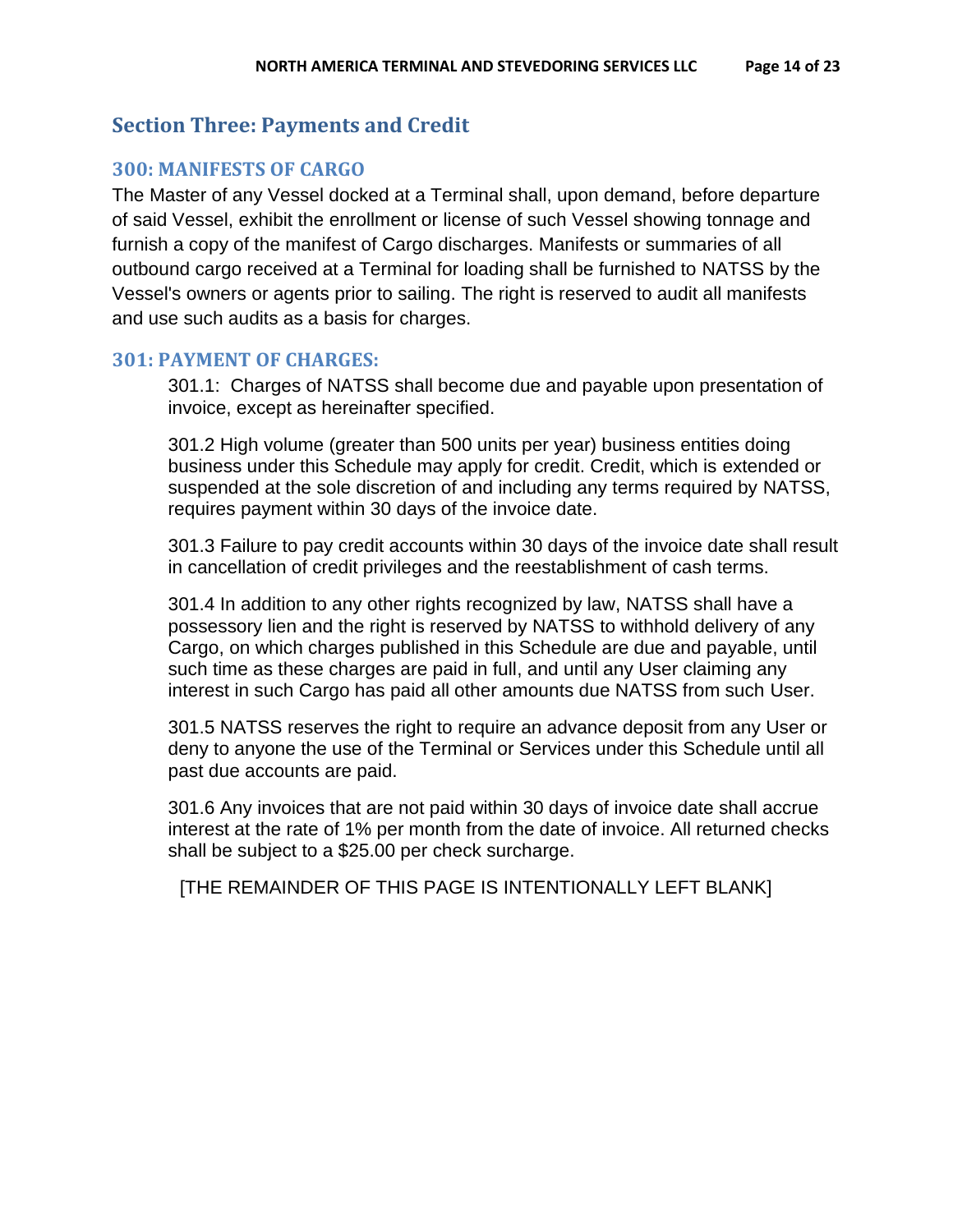## <span id="page-13-0"></span>**Section Three: Payments and Credit**

## <span id="page-13-1"></span>**300: MANIFESTS OF CARGO**

The Master of any Vessel docked at a Terminal shall, upon demand, before departure of said Vessel, exhibit the enrollment or license of such Vessel showing tonnage and furnish a copy of the manifest of Cargo discharges. Manifests or summaries of all outbound cargo received at a Terminal for loading shall be furnished to NATSS by the Vessel's owners or agents prior to sailing. The right is reserved to audit all manifests and use such audits as a basis for charges.

#### <span id="page-13-2"></span>**301: PAYMENT OF CHARGES:**

301.1: Charges of NATSS shall become due and payable upon presentation of invoice, except as hereinafter specified.

301.2 High volume (greater than 500 units per year) business entities doing business under this Schedule may apply for credit. Credit, which is extended or suspended at the sole discretion of and including any terms required by NATSS, requires payment within 30 days of the invoice date.

301.3 Failure to pay credit accounts within 30 days of the invoice date shall result in cancellation of credit privileges and the reestablishment of cash terms.

301.4 In addition to any other rights recognized by law, NATSS shall have a possessory lien and the right is reserved by NATSS to withhold delivery of any Cargo, on which charges published in this Schedule are due and payable, until such time as these charges are paid in full, and until any User claiming any interest in such Cargo has paid all other amounts due NATSS from such User.

301.5 NATSS reserves the right to require an advance deposit from any User or deny to anyone the use of the Terminal or Services under this Schedule until all past due accounts are paid.

301.6 Any invoices that are not paid within 30 days of invoice date shall accrue interest at the rate of 1% per month from the date of invoice. All returned checks shall be subject to a \$25.00 per check surcharge.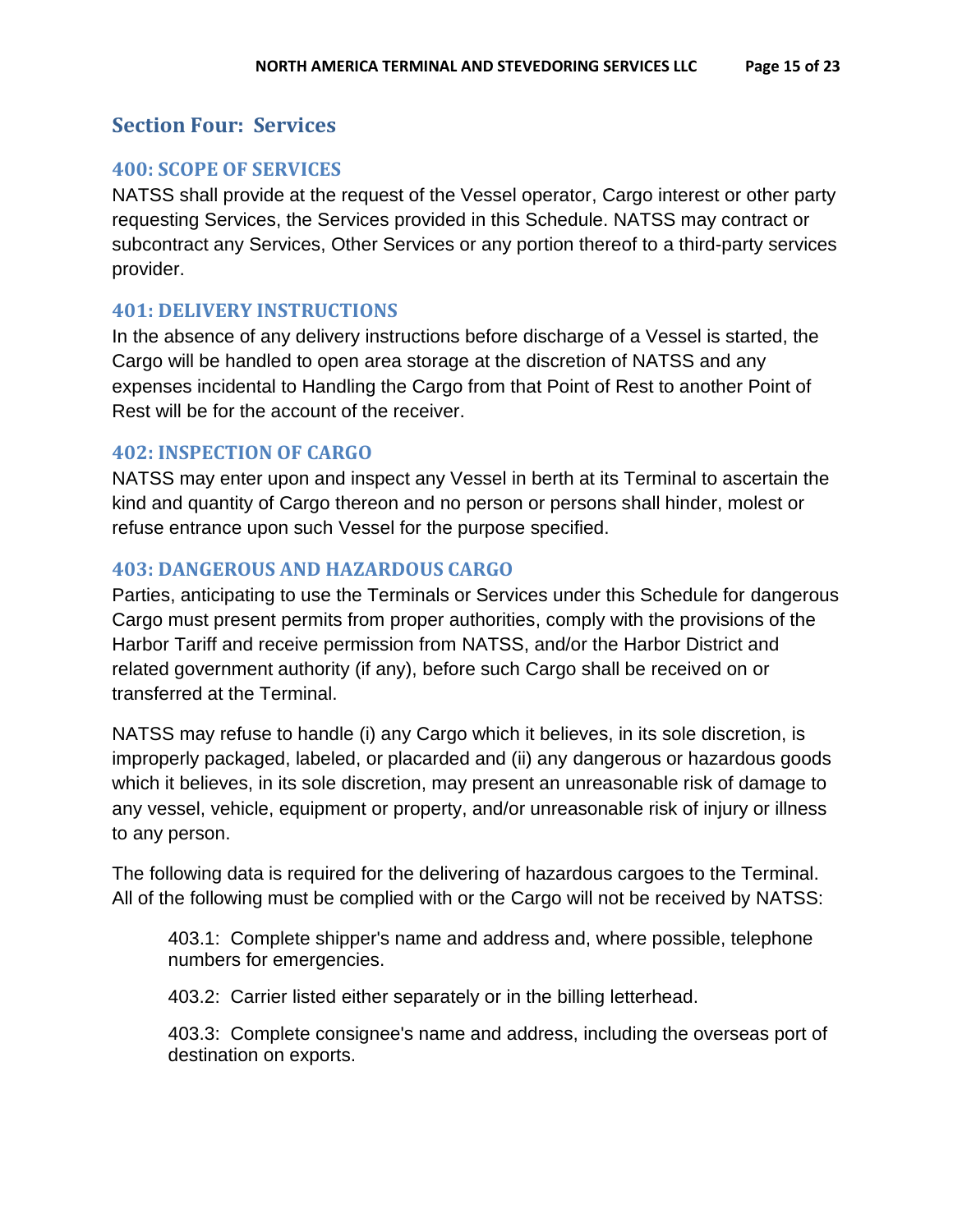## <span id="page-14-0"></span>**Section Four: Services**

## <span id="page-14-1"></span>**400: SCOPE OF SERVICES**

NATSS shall provide at the request of the Vessel operator, Cargo interest or other party requesting Services, the Services provided in this Schedule. NATSS may contract or subcontract any Services, Other Services or any portion thereof to a third-party services provider.

### <span id="page-14-2"></span>**401: DELIVERY INSTRUCTIONS**

In the absence of any delivery instructions before discharge of a Vessel is started, the Cargo will be handled to open area storage at the discretion of NATSS and any expenses incidental to Handling the Cargo from that Point of Rest to another Point of Rest will be for the account of the receiver.

#### <span id="page-14-3"></span>**402: INSPECTION OF CARGO**

NATSS may enter upon and inspect any Vessel in berth at its Terminal to ascertain the kind and quantity of Cargo thereon and no person or persons shall hinder, molest or refuse entrance upon such Vessel for the purpose specified.

### <span id="page-14-4"></span>**403: DANGEROUS AND HAZARDOUS CARGO**

Parties, anticipating to use the Terminals or Services under this Schedule for dangerous Cargo must present permits from proper authorities, comply with the provisions of the Harbor Tariff and receive permission from NATSS, and/or the Harbor District and related government authority (if any), before such Cargo shall be received on or transferred at the Terminal.

NATSS may refuse to handle (i) any Cargo which it believes, in its sole discretion, is improperly packaged, labeled, or placarded and (ii) any dangerous or hazardous goods which it believes, in its sole discretion, may present an unreasonable risk of damage to any vessel, vehicle, equipment or property, and/or unreasonable risk of injury or illness to any person.

The following data is required for the delivering of hazardous cargoes to the Terminal. All of the following must be complied with or the Cargo will not be received by NATSS:

403.1: Complete shipper's name and address and, where possible, telephone numbers for emergencies.

403.2: Carrier listed either separately or in the billing letterhead.

403.3: Complete consignee's name and address, including the overseas port of destination on exports.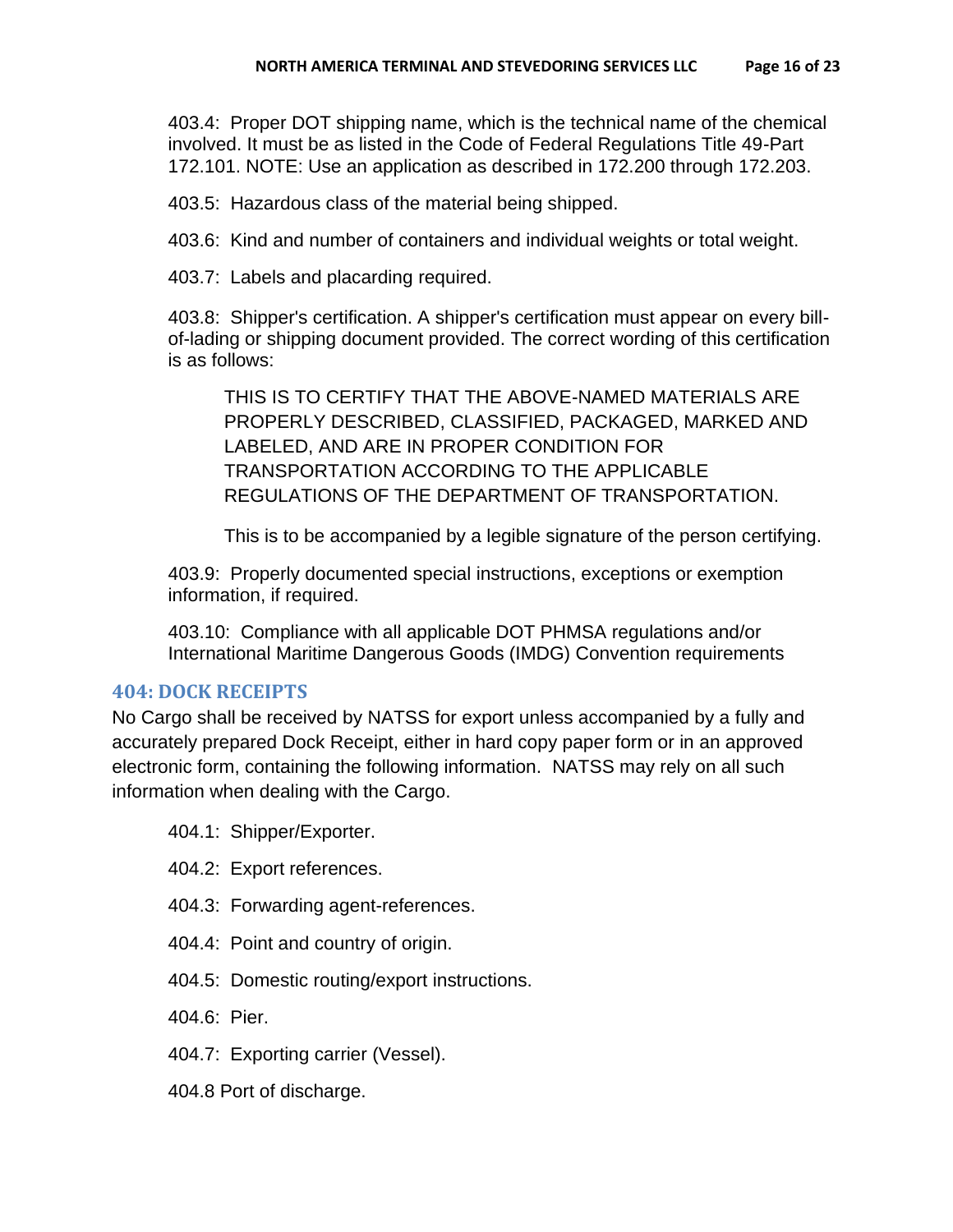403.4: Proper DOT shipping name, which is the technical name of the chemical involved. It must be as listed in the Code of Federal Regulations Title 49-Part 172.101. NOTE: Use an application as described in 172.200 through 172.203.

403.5: Hazardous class of the material being shipped.

403.6: Kind and number of containers and individual weights or total weight.

403.7: Labels and placarding required.

403.8: Shipper's certification. A shipper's certification must appear on every billof-lading or shipping document provided. The correct wording of this certification is as follows:

THIS IS TO CERTIFY THAT THE ABOVE-NAMED MATERIALS ARE PROPERLY DESCRIBED, CLASSIFIED, PACKAGED, MARKED AND LABELED, AND ARE IN PROPER CONDITION FOR TRANSPORTATION ACCORDING TO THE APPLICABLE REGULATIONS OF THE DEPARTMENT OF TRANSPORTATION.

This is to be accompanied by a legible signature of the person certifying.

403.9: Properly documented special instructions, exceptions or exemption information, if required.

403.10: Compliance with all applicable DOT PHMSA regulations and/or International Maritime Dangerous Goods (IMDG) Convention requirements

#### <span id="page-15-0"></span>**404: DOCK RECEIPTS**

No Cargo shall be received by NATSS for export unless accompanied by a fully and accurately prepared Dock Receipt, either in hard copy paper form or in an approved electronic form, containing the following information. NATSS may rely on all such information when dealing with the Cargo.

404.1: Shipper/Exporter.

- 404.2: Export references.
- 404.3: Forwarding agent-references.
- 404.4: Point and country of origin.
- 404.5: Domestic routing/export instructions.

404.6: Pier.

- 404.7: Exporting carrier (Vessel).
- 404.8 Port of discharge.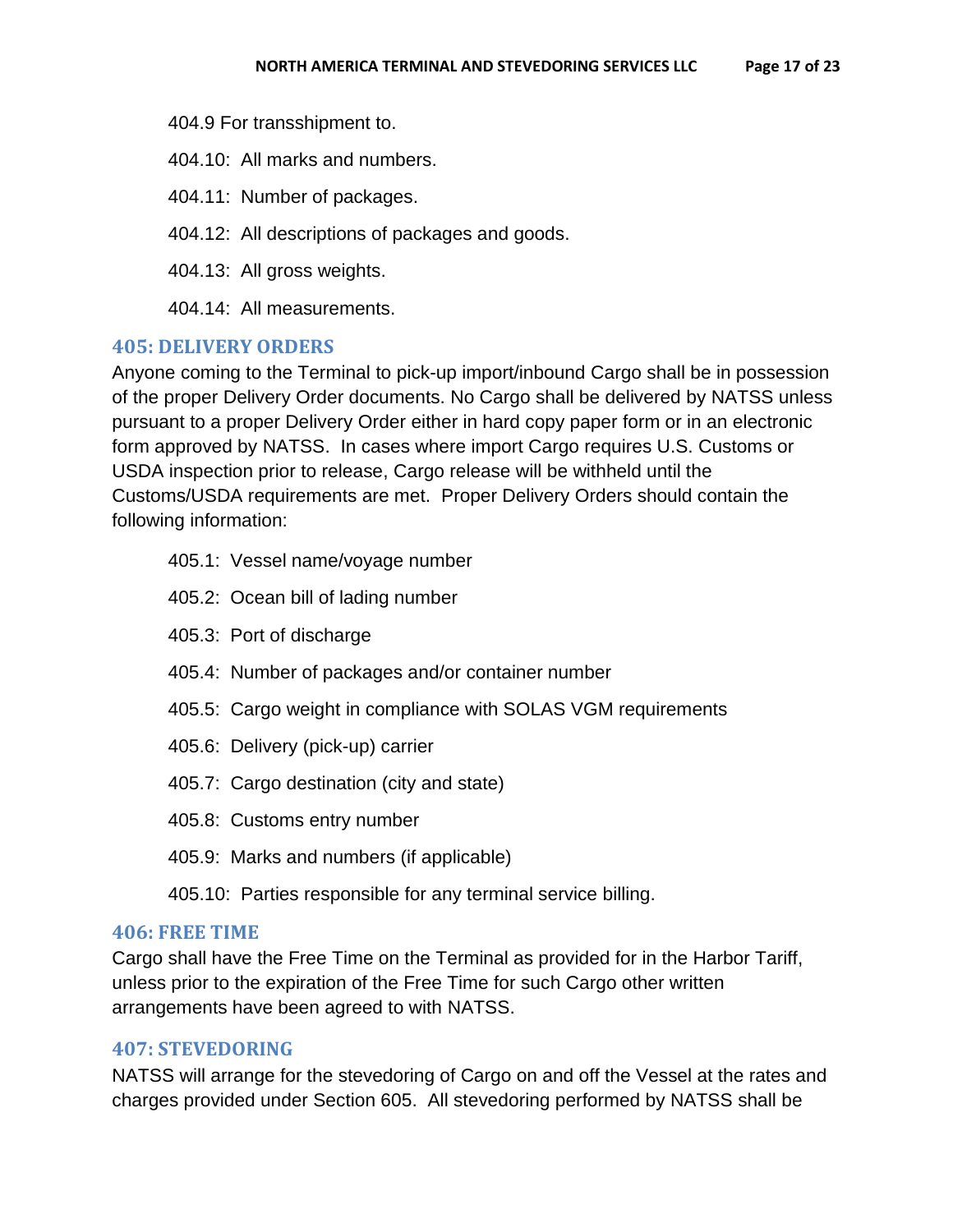404.9 For transshipment to.

404.10: All marks and numbers.

404.11: Number of packages.

404.12: All descriptions of packages and goods.

404.13: All gross weights.

404.14: All measurements.

#### <span id="page-16-0"></span>**405: DELIVERY ORDERS**

Anyone coming to the Terminal to pick-up import/inbound Cargo shall be in possession of the proper Delivery Order documents. No Cargo shall be delivered by NATSS unless pursuant to a proper Delivery Order either in hard copy paper form or in an electronic form approved by NATSS. In cases where import Cargo requires U.S. Customs or USDA inspection prior to release, Cargo release will be withheld until the Customs/USDA requirements are met. Proper Delivery Orders should contain the following information:

- 405.1: Vessel name/voyage number
- 405.2: Ocean bill of lading number
- 405.3: Port of discharge
- 405.4: Number of packages and/or container number
- 405.5: Cargo weight in compliance with SOLAS VGM requirements
- 405.6: Delivery (pick-up) carrier
- 405.7: Cargo destination (city and state)
- 405.8: Customs entry number
- 405.9: Marks and numbers (if applicable)
- 405.10: Parties responsible for any terminal service billing.

#### <span id="page-16-1"></span>**406: FREE TIME**

Cargo shall have the Free Time on the Terminal as provided for in the Harbor Tariff, unless prior to the expiration of the Free Time for such Cargo other written arrangements have been agreed to with NATSS.

#### <span id="page-16-2"></span>**407: STEVEDORING**

NATSS will arrange for the stevedoring of Cargo on and off the Vessel at the rates and charges provided under Section 605. All stevedoring performed by NATSS shall be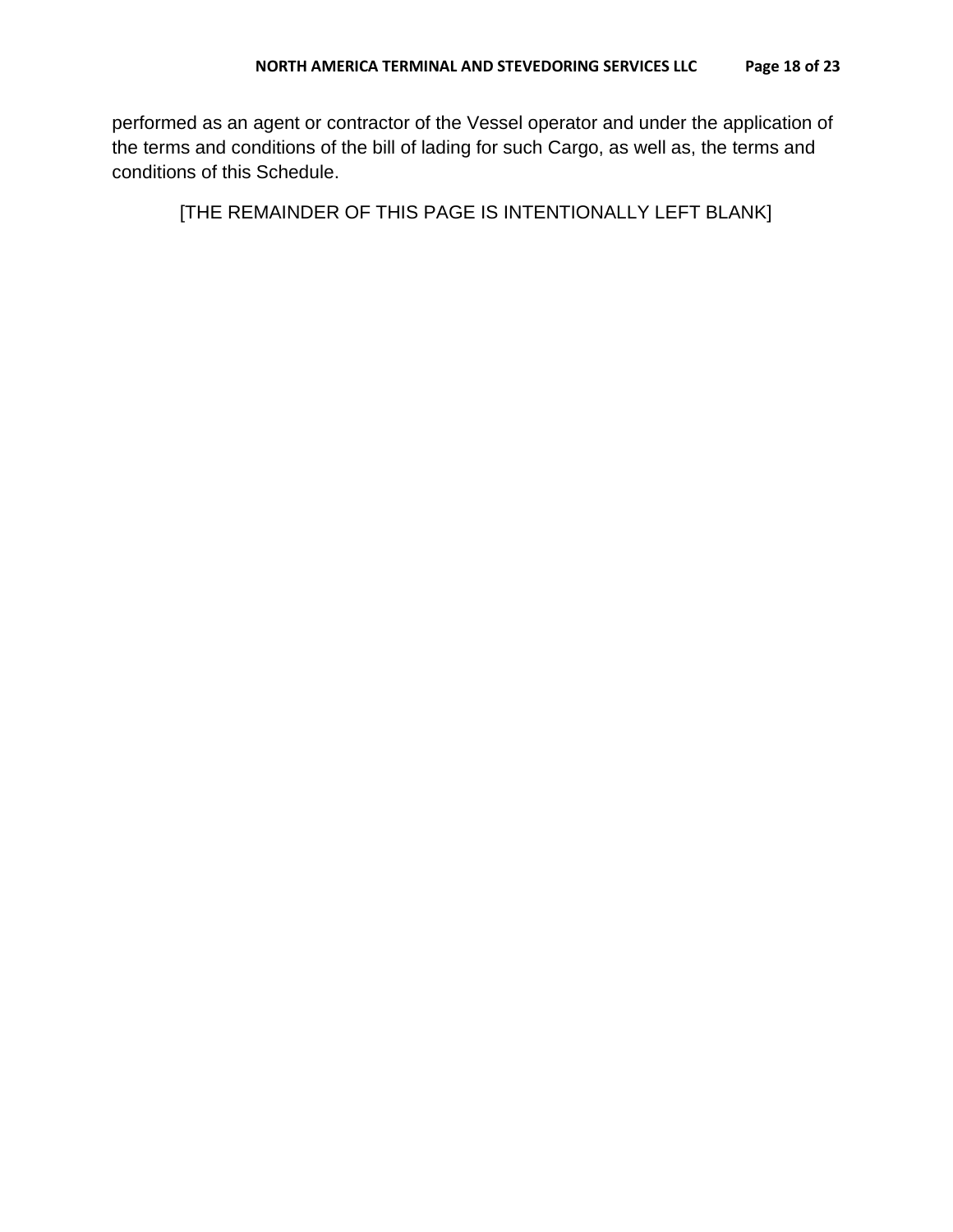performed as an agent or contractor of the Vessel operator and under the application of the terms and conditions of the bill of lading for such Cargo, as well as, the terms and conditions of this Schedule.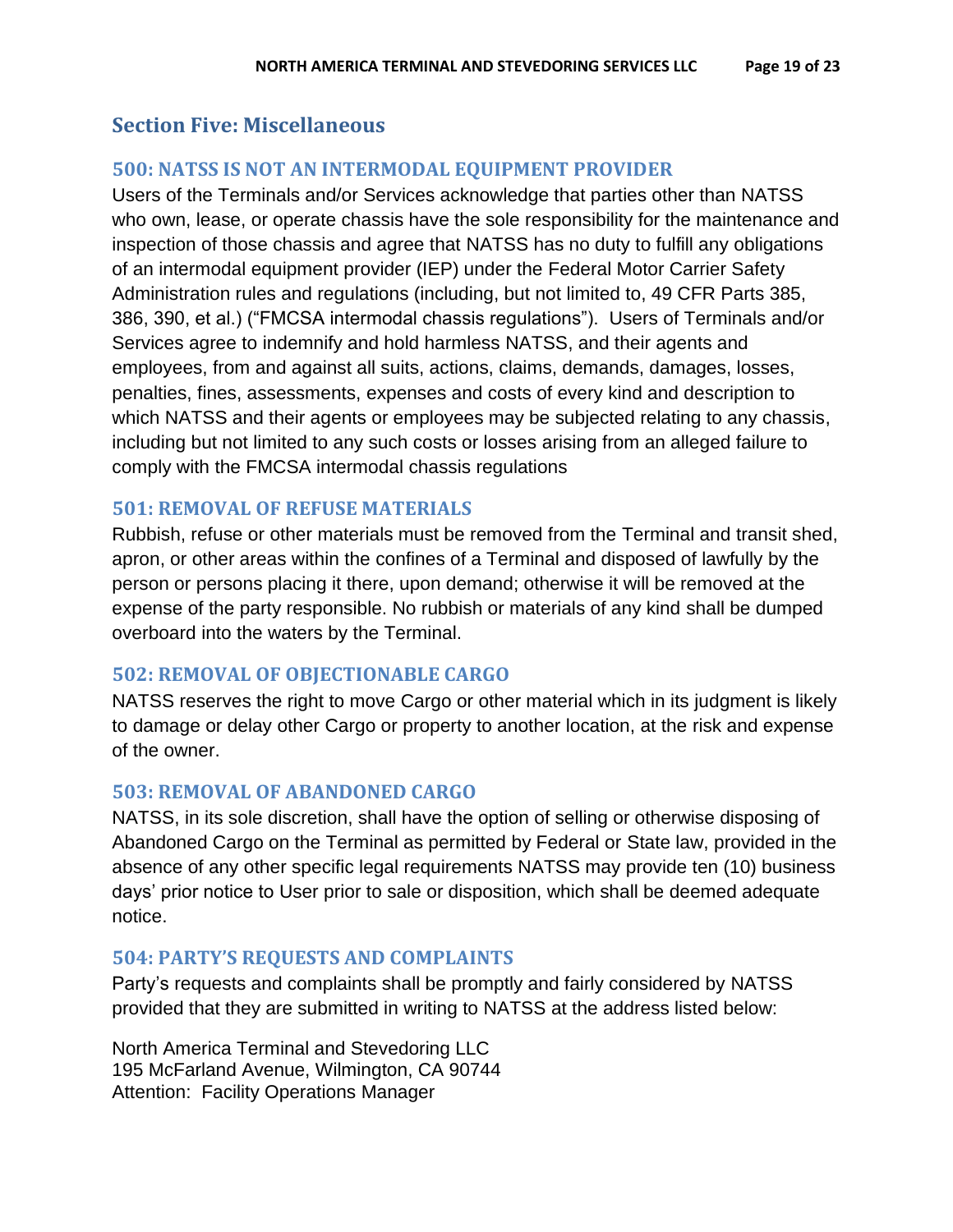## <span id="page-18-0"></span>**Section Five: Miscellaneous**

## <span id="page-18-1"></span>**500: NATSS IS NOT AN INTERMODAL EQUIPMENT PROVIDER**

Users of the Terminals and/or Services acknowledge that parties other than NATSS who own, lease, or operate chassis have the sole responsibility for the maintenance and inspection of those chassis and agree that NATSS has no duty to fulfill any obligations of an intermodal equipment provider (IEP) under the Federal Motor Carrier Safety Administration rules and regulations (including, but not limited to, 49 CFR Parts 385, 386, 390, et al.) ("FMCSA intermodal chassis regulations"). Users of Terminals and/or Services agree to indemnify and hold harmless NATSS, and their agents and employees, from and against all suits, actions, claims, demands, damages, losses, penalties, fines, assessments, expenses and costs of every kind and description to which NATSS and their agents or employees may be subjected relating to any chassis, including but not limited to any such costs or losses arising from an alleged failure to comply with the FMCSA intermodal chassis regulations

### <span id="page-18-2"></span>**501: REMOVAL OF REFUSE MATERIALS**

Rubbish, refuse or other materials must be removed from the Terminal and transit shed, apron, or other areas within the confines of a Terminal and disposed of lawfully by the person or persons placing it there, upon demand; otherwise it will be removed at the expense of the party responsible. No rubbish or materials of any kind shall be dumped overboard into the waters by the Terminal.

## <span id="page-18-3"></span>**502: REMOVAL OF OBJECTIONABLE CARGO**

NATSS reserves the right to move Cargo or other material which in its judgment is likely to damage or delay other Cargo or property to another location, at the risk and expense of the owner.

#### <span id="page-18-4"></span>**503: REMOVAL OF ABANDONED CARGO**

NATSS, in its sole discretion, shall have the option of selling or otherwise disposing of Abandoned Cargo on the Terminal as permitted by Federal or State law, provided in the absence of any other specific legal requirements NATSS may provide ten (10) business days' prior notice to User prior to sale or disposition, which shall be deemed adequate notice.

#### <span id="page-18-5"></span>**504: PARTY'S REQUESTS AND COMPLAINTS**

Party's requests and complaints shall be promptly and fairly considered by NATSS provided that they are submitted in writing to NATSS at the address listed below:

North America Terminal and Stevedoring LLC 195 McFarland Avenue, Wilmington, CA 90744 Attention: Facility Operations Manager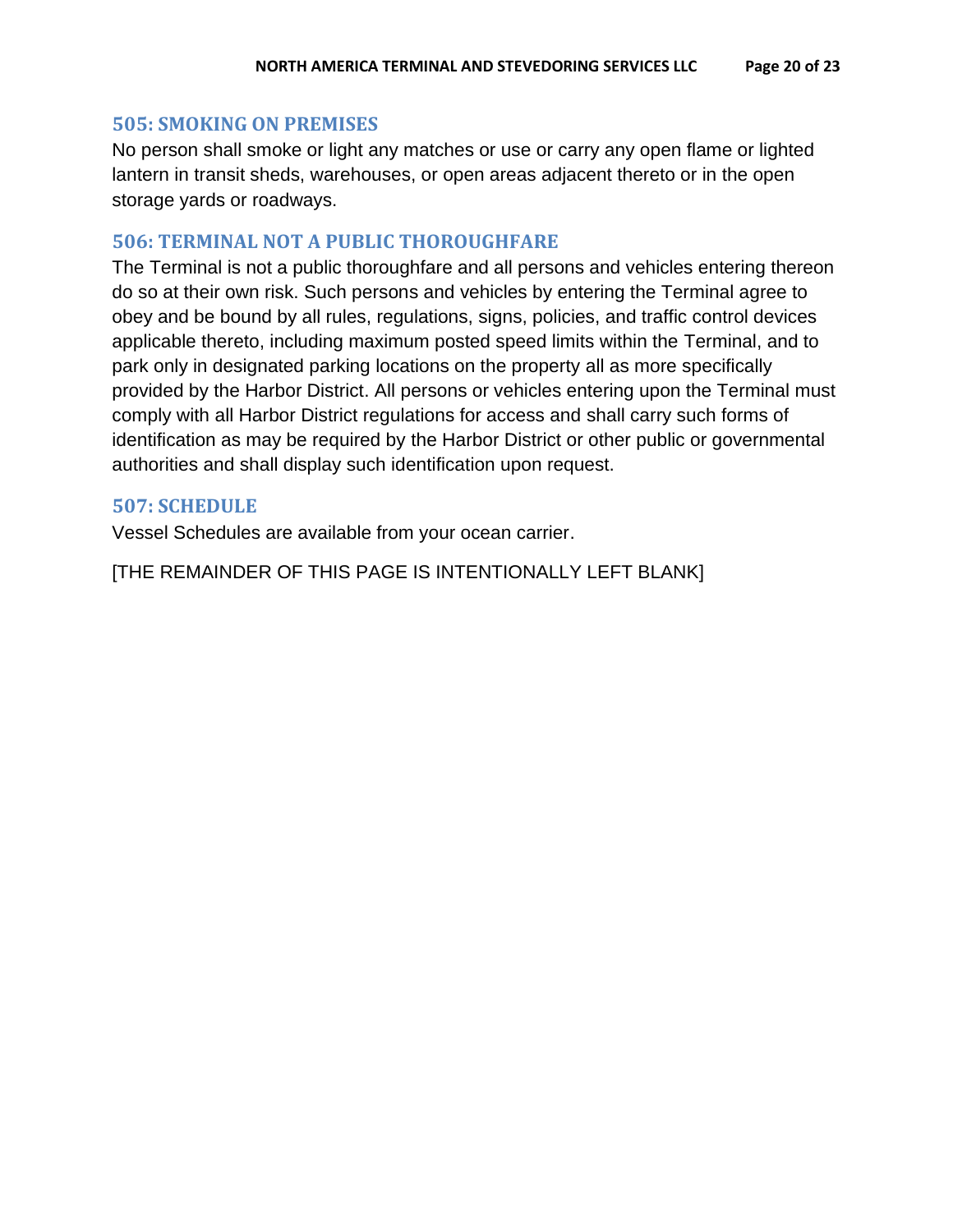#### <span id="page-19-0"></span>**505: SMOKING ON PREMISES**

No person shall smoke or light any matches or use or carry any open flame or lighted lantern in transit sheds, warehouses, or open areas adjacent thereto or in the open storage yards or roadways.

#### <span id="page-19-1"></span>**506: TERMINAL NOT A PUBLIC THOROUGHFARE**

The Terminal is not a public thoroughfare and all persons and vehicles entering thereon do so at their own risk. Such persons and vehicles by entering the Terminal agree to obey and be bound by all rules, regulations, signs, policies, and traffic control devices applicable thereto, including maximum posted speed limits within the Terminal, and to park only in designated parking locations on the property all as more specifically provided by the Harbor District. All persons or vehicles entering upon the Terminal must comply with all Harbor District regulations for access and shall carry such forms of identification as may be required by the Harbor District or other public or governmental authorities and shall display such identification upon request.

#### <span id="page-19-2"></span>**507: SCHEDULE**

<span id="page-19-3"></span>Vessel Schedules are available from your ocean carrier.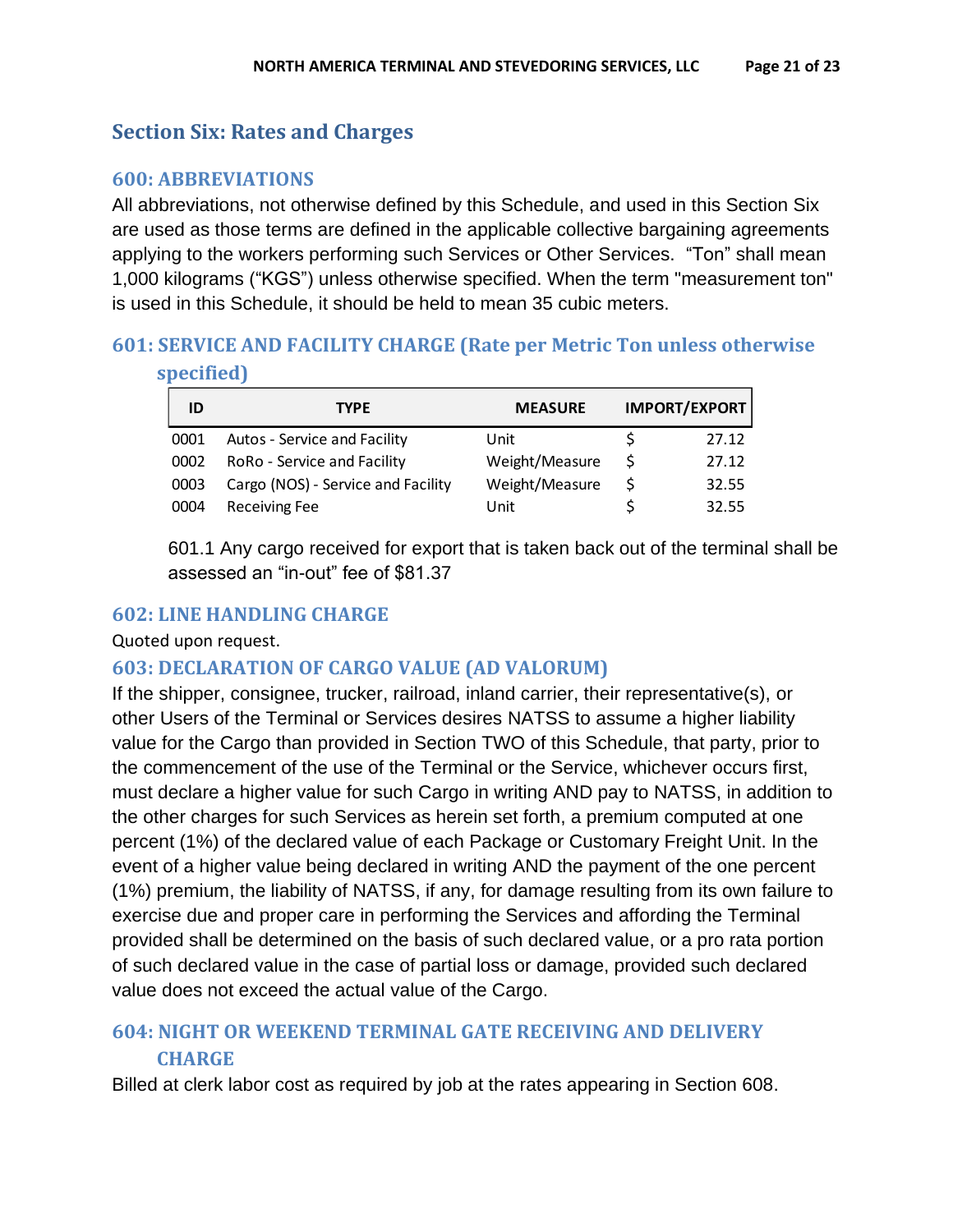## **Section Six: Rates and Charges**

### <span id="page-20-0"></span>**600: ABBREVIATIONS**

All abbreviations, not otherwise defined by this Schedule, and used in this Section Six are used as those terms are defined in the applicable collective bargaining agreements applying to the workers performing such Services or Other Services. "Ton" shall mean 1,000 kilograms ("KGS") unless otherwise specified. When the term "measurement ton" is used in this Schedule, it should be held to mean 35 cubic meters.

# <span id="page-20-1"></span>**601: SERVICE AND FACILITY CHARGE (Rate per Metric Ton unless otherwise**

**specified)**

| ID   | <b>TYPE</b>                        | <b>MEASURE</b> | <b>IMPORT/EXPORT</b> |
|------|------------------------------------|----------------|----------------------|
| 0001 | Autos - Service and Facility       | Unit           | 27.12                |
| 0002 | RoRo - Service and Facility        | Weight/Measure | 27.12                |
| 0003 | Cargo (NOS) - Service and Facility | Weight/Measure | 32.55                |
| 0004 | <b>Receiving Fee</b>               | Unit           | 32.55                |

<span id="page-20-3"></span>601.1 Any cargo received for export that is taken back out of the terminal shall be assessed an "in-out" fee of \$81.37

### <span id="page-20-2"></span>**602: LINE HANDLING CHARGE**

Quoted upon request.

## **603: DECLARATION OF CARGO VALUE (AD VALORUM)**

If the shipper, consignee, trucker, railroad, inland carrier, their representative(s), or other Users of the Terminal or Services desires NATSS to assume a higher liability value for the Cargo than provided in Section TWO of this Schedule, that party, prior to the commencement of the use of the Terminal or the Service, whichever occurs first, must declare a higher value for such Cargo in writing AND pay to NATSS, in addition to the other charges for such Services as herein set forth, a premium computed at one percent (1%) of the declared value of each Package or Customary Freight Unit. In the event of a higher value being declared in writing AND the payment of the one percent (1%) premium, the liability of NATSS, if any, for damage resulting from its own failure to exercise due and proper care in performing the Services and affording the Terminal provided shall be determined on the basis of such declared value, or a pro rata portion of such declared value in the case of partial loss or damage, provided such declared value does not exceed the actual value of the Cargo.

## <span id="page-20-4"></span>**604: NIGHT OR WEEKEND TERMINAL GATE RECEIVING AND DELIVERY CHARGE**

Billed at clerk labor cost as required by job at the rates appearing in Section 608.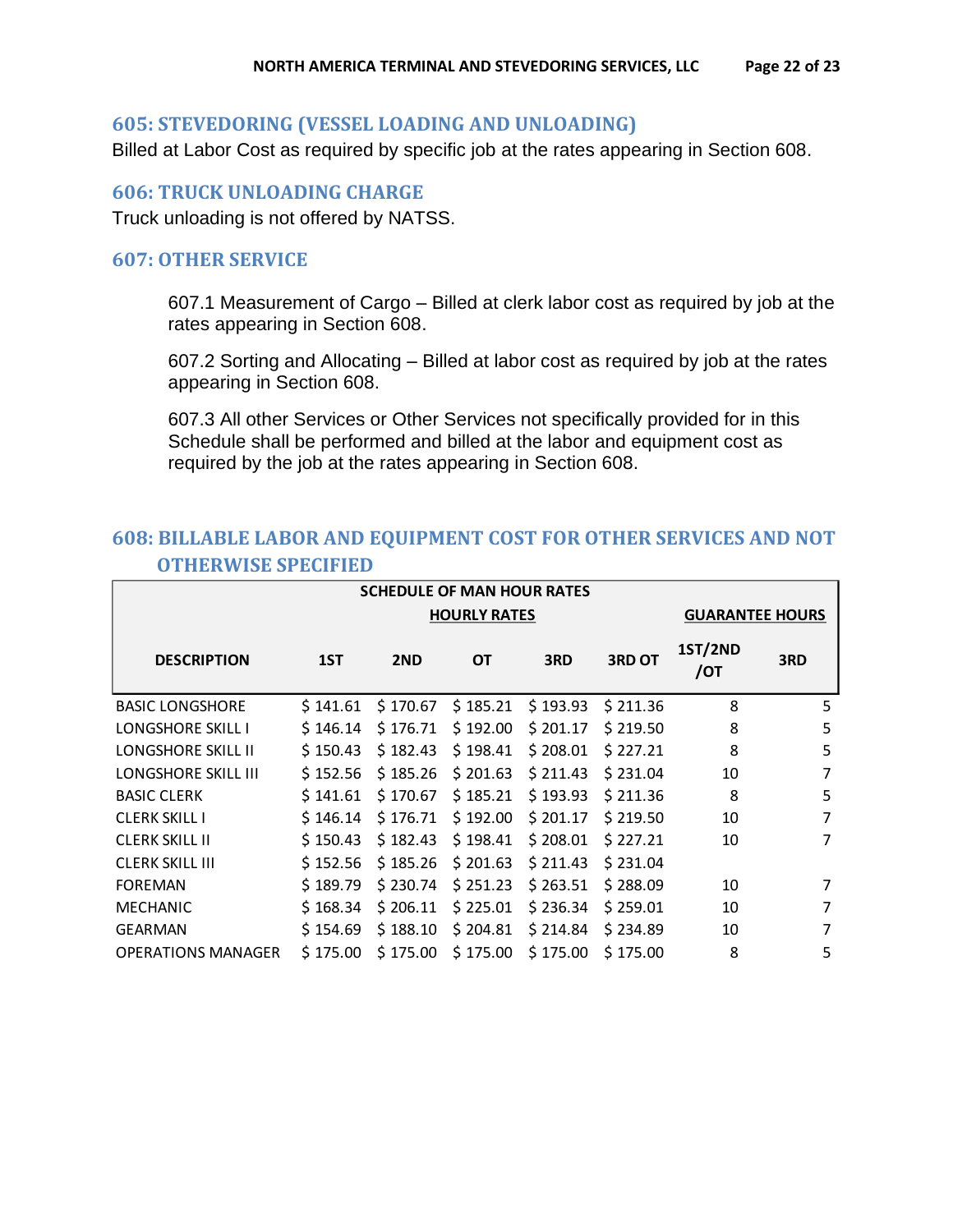#### <span id="page-21-0"></span>**605: STEVEDORING (VESSEL LOADING AND UNLOADING)**

Billed at Labor Cost as required by specific job at the rates appearing in Section 608.

#### <span id="page-21-1"></span>**606: TRUCK UNLOADING CHARGE**

Truck unloading is not offered by NATSS.

#### <span id="page-21-2"></span>**607: OTHER SERVICE**

607.1 Measurement of Cargo – Billed at clerk labor cost as required by job at the rates appearing in Section 608.

607.2 Sorting and Allocating – Billed at labor cost as required by job at the rates appearing in Section 608.

607.3 All other Services or Other Services not specifically provided for in this Schedule shall be performed and billed at the labor and equipment cost as required by the job at the rates appearing in Section 608.

## <span id="page-21-3"></span>**608: BILLABLE LABOR AND EQUIPMENT COST FOR OTHER SERVICES AND NOT OTHERWISE SPECIFIED**

| <b>SCHEDULE OF MAN HOUR RATES</b> |          |          |           |          |               |                        |     |
|-----------------------------------|----------|----------|-----------|----------|---------------|------------------------|-----|
| <b>HOURLY RATES</b>               |          |          |           |          |               | <b>GUARANTEE HOURS</b> |     |
| <b>DESCRIPTION</b>                | 1ST      | 2ND      | <b>OT</b> | 3RD      | <b>3RD OT</b> | <b>1ST/2ND</b><br>/ОТ  | 3RD |
| <b>BASIC LONGSHORE</b>            | \$141.61 | \$170.67 | \$185.21  | \$193.93 | \$211.36      | 8                      | 5   |
| <b>LONGSHORE SKILL I</b>          | \$146.14 | \$176.71 | \$192.00  | \$201.17 | \$219.50      | 8                      | 5   |
| <b>LONGSHORE SKILL II</b>         | \$150.43 | \$182.43 | \$198.41  | \$208.01 | \$227.21      | 8                      | 5   |
| <b>LONGSHORE SKILL III</b>        | \$152.56 | \$185.26 | \$201.63  | \$211.43 | \$231.04      | 10                     | 7   |
| <b>BASIC CLERK</b>                | \$141.61 | \$170.67 | \$185.21  | \$193.93 | \$211.36      | 8                      | 5   |
| <b>CLERK SKILL I</b>              | \$146.14 | \$176.71 | \$192.00  | \$201.17 | \$219.50      | 10                     | 7   |
| <b>CLERK SKILL II</b>             | \$150.43 | \$182.43 | \$198.41  | \$208.01 | \$227.21      | 10                     | 7   |
| <b>CLERK SKILL III</b>            | \$152.56 | \$185.26 | \$201.63  | \$211.43 | \$231.04      |                        |     |
| <b>FOREMAN</b>                    | \$189.79 | \$230.74 | \$251.23  | \$263.51 | \$288.09      | 10                     | 7   |
| <b>MECHANIC</b>                   | \$168.34 | \$206.11 | \$225.01  | \$236.34 | \$259.01      | 10                     | 7   |
| <b>GEARMAN</b>                    | \$154.69 | \$188.10 | \$204.81  | \$214.84 | \$234.89      | 10                     | 7   |
| <b>OPERATIONS MANAGER</b>         | \$175.00 | \$175.00 | \$175.00  | \$175.00 | \$175.00      | 8                      | 5   |